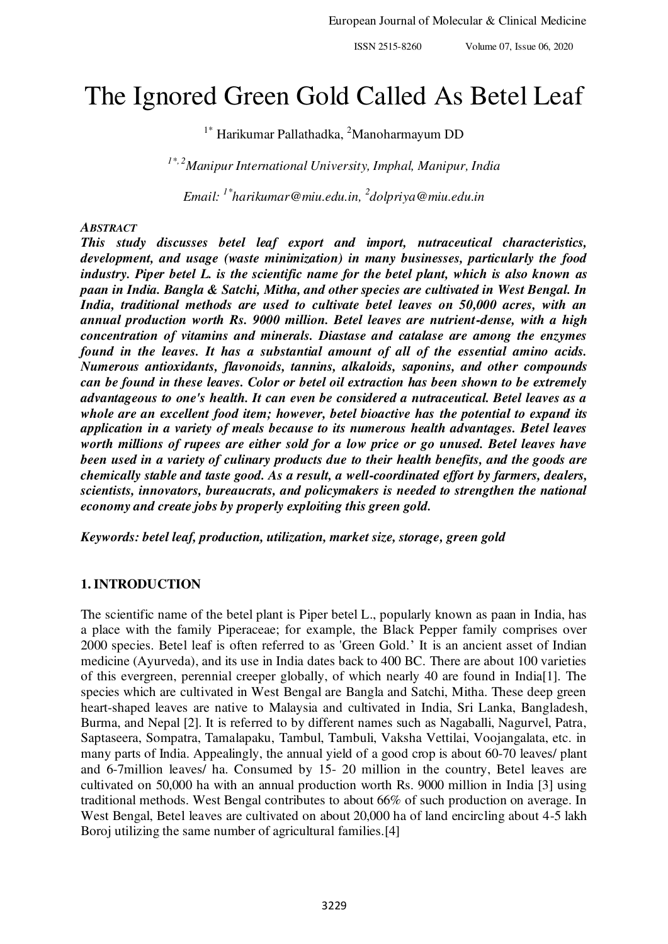# The Ignored Green Gold Called As Betel Leaf

 $1^*$  Harikumar Pallathadka, <sup>2</sup>Manoharmayum DD

*1\*, 2Manipur International University, Imphal, Manipur, India*

*Email: 1\*harikumar@miu.edu.in, <sup>2</sup> [dolpriya@miu.edu.in](mailto:2dolpriya@miu.edu.in)* 

## *ABSTRACT*

*This study discusses betel leaf export and import, nutraceutical characteristics, development, and usage (waste minimization) in many businesses, particularly the food industry. Piper betel L. is the scientific name for the betel plant, which is also known as paan in India. Bangla & Satchi, Mitha, and other species are cultivated in West Bengal. In India, traditional methods are used to cultivate betel leaves on 50,000 acres, with an annual production worth Rs. 9000 million. Betel leaves are nutrient-dense, with a high concentration of vitamins and minerals. Diastase and catalase are among the enzymes found in the leaves. It has a substantial amount of all of the essential amino acids. Numerous antioxidants, flavonoids, tannins, alkaloids, saponins, and other compounds can be found in these leaves. Color or betel oil extraction has been shown to be extremely advantageous to one's health. It can even be considered a nutraceutical. Betel leaves as a whole are an excellent food item; however, betel bioactive has the potential to expand its application in a variety of meals because to its numerous health advantages. Betel leaves worth millions of rupees are either sold for a low price or go unused. Betel leaves have been used in a variety of culinary products due to their health benefits, and the goods are chemically stable and taste good. As a result, a well-coordinated effort by farmers, dealers, scientists, innovators, bureaucrats, and policymakers is needed to strengthen the national economy and create jobs by properly exploiting this green gold.* 

*Keywords: betel leaf, production, utilization, market size, storage, green gold* 

# **1.INTRODUCTION**

The scientific name of the betel plant is Piper betel L., popularly known as paan in India, has a place with the family Piperaceae; for example, the Black Pepper family comprises over 2000 species. Betel leaf is often referred to as 'Green Gold.' It is an ancient asset of Indian medicine (Ayurveda), and its use in India dates back to 400 BC. There are about 100 varieties of this evergreen, perennial creeper globally, of which nearly 40 are found in India[1]. The species which are cultivated in West Bengal are Bangla and Satchi, Mitha. These deep green heart-shaped leaves are native to Malaysia and cultivated in India, Sri Lanka, Bangladesh, Burma, and Nepal [2]. It is referred to by different names such as Nagaballi, Nagurvel, Patra, Saptaseera, Sompatra, Tamalapaku, Tambul, Tambuli, Vaksha Vettilai, Voojangalata, etc. in many parts of India. Appealingly, the annual yield of a good crop is about 60-70 leaves/ plant and 6-7million leaves/ ha. Consumed by 15- 20 million in the country, Betel leaves are cultivated on 50,000 ha with an annual production worth Rs. 9000 million in India [3] using traditional methods. West Bengal contributes to about 66% of such production on average. In West Bengal, Betel leaves are cultivated on about 20,000 ha of land encircling about 4-5 lakh Boroj utilizing the same number of agricultural families.[4]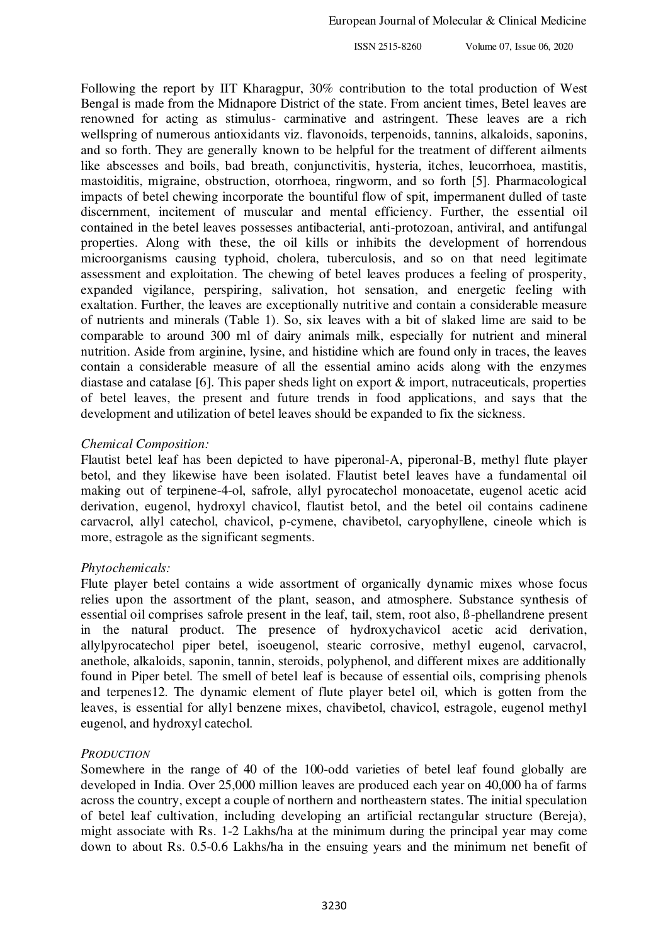Following the report by IIT Kharagpur, 30% contribution to the total production of West Bengal is made from the Midnapore District of the state. From ancient times, Betel leaves are renowned for acting as stimulus- carminative and astringent. These leaves are a rich wellspring of numerous antioxidants viz. flavonoids, terpenoids, tannins, alkaloids, saponins, and so forth. They are generally known to be helpful for the treatment of different ailments like abscesses and boils, bad breath, conjunctivitis, hysteria, itches, leucorrhoea, mastitis, mastoiditis, migraine, obstruction, otorrhoea, ringworm, and so forth [5]. Pharmacological impacts of betel chewing incorporate the bountiful flow of spit, impermanent dulled of taste discernment, incitement of muscular and mental efficiency. Further, the essential oil contained in the betel leaves possesses antibacterial, anti-protozoan, antiviral, and antifungal properties. Along with these, the oil kills or inhibits the development of horrendous microorganisms causing typhoid, cholera, tuberculosis, and so on that need legitimate assessment and exploitation. The chewing of betel leaves produces a feeling of prosperity, expanded vigilance, perspiring, salivation, hot sensation, and energetic feeling with exaltation. Further, the leaves are exceptionally nutritive and contain a considerable measure of nutrients and minerals (Table 1). So, six leaves with a bit of slaked lime are said to be comparable to around 300 ml of dairy animals milk, especially for nutrient and mineral nutrition. Aside from arginine, lysine, and histidine which are found only in traces, the leaves contain a considerable measure of all the essential amino acids along with the enzymes diastase and catalase [6]. This paper sheds light on export & import, nutraceuticals, properties of betel leaves, the present and future trends in food applications, and says that the development and utilization of betel leaves should be expanded to fix the sickness.

#### *Chemical Composition:*

Flautist betel leaf has been depicted to have piperonal-A, piperonal-B, methyl flute player betol, and they likewise have been isolated. Flautist betel leaves have a fundamental oil making out of terpinene-4-ol, safrole, allyl pyrocatechol monoacetate, eugenol acetic acid derivation, eugenol, hydroxyl chavicol, flautist betol, and the betel oil contains cadinene carvacrol, allyl catechol, chavicol, p-cymene, chavibetol, caryophyllene, cineole which is more, estragole as the significant segments.

#### *Phytochemicals:*

Flute player betel contains a wide assortment of organically dynamic mixes whose focus relies upon the assortment of the plant, season, and atmosphere. Substance synthesis of essential oil comprises safrole present in the leaf, tail, stem, root also, ß-phellandrene present in the natural product. The presence of hydroxychavicol acetic acid derivation, allylpyrocatechol piper betel, isoeugenol, stearic corrosive, methyl eugenol, carvacrol, anethole, alkaloids, saponin, tannin, steroids, polyphenol, and different mixes are additionally found in Piper betel. The smell of betel leaf is because of essential oils, comprising phenols and terpenes12. The dynamic element of flute player betel oil, which is gotten from the leaves, is essential for allyl benzene mixes, chavibetol, chavicol, estragole, eugenol methyl eugenol, and hydroxyl catechol.

#### *PRODUCTION*

Somewhere in the range of 40 of the 100-odd varieties of betel leaf found globally are developed in India. Over 25,000 million leaves are produced each year on 40,000 ha of farms across the country, except a couple of northern and northeastern states. The initial speculation of betel leaf cultivation, including developing an artificial rectangular structure (Bereja), might associate with Rs. 1-2 Lakhs/ha at the minimum during the principal year may come down to about Rs. 0.5-0.6 Lakhs/ha in the ensuing years and the minimum net benefit of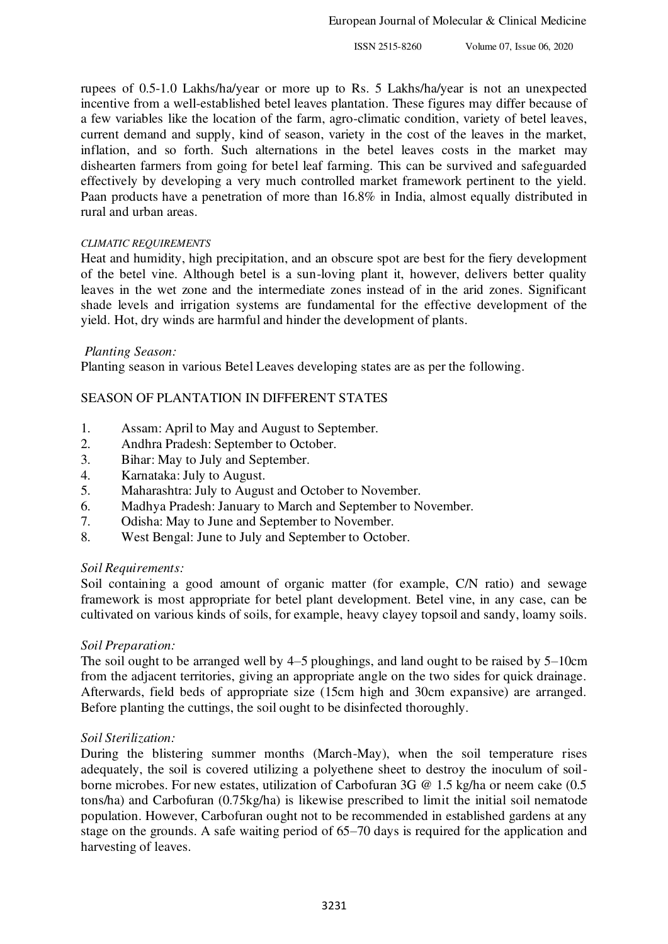rupees of 0.5-1.0 Lakhs/ha/year or more up to Rs. 5 Lakhs/ha/year is not an unexpected incentive from a well-established betel leaves plantation. These figures may differ because of a few variables like the location of the farm, agro-climatic condition, variety of betel leaves, current demand and supply, kind of season, variety in the cost of the leaves in the market, inflation, and so forth. Such alternations in the betel leaves costs in the market may dishearten farmers from going for betel leaf farming. This can be survived and safeguarded effectively by developing a very much controlled market framework pertinent to the yield. Paan products have a penetration of more than 16.8% in India, almost equally distributed in rural and urban areas.

#### *CLIMATIC REQUIREMENTS*

Heat and humidity, high precipitation, and an obscure spot are best for the fiery development of the betel vine. Although betel is a sun-loving plant it, however, delivers better quality leaves in the wet zone and the intermediate zones instead of in the arid zones. Significant shade levels and irrigation systems are fundamental for the effective development of the yield. Hot, dry winds are harmful and hinder the development of plants.

#### *Planting Season:*

Planting season in various Betel Leaves developing states are as per the following.

## SEASON OF PLANTATION IN DIFFERENT STATES

- 1. Assam: April to May and August to September.
- 2. Andhra Pradesh: September to October.
- 3. Bihar: May to July and September.
- 4. Karnataka: July to August.
- 5. Maharashtra: July to August and October to November.
- 6. Madhya Pradesh: January to March and September to November.<br>7. Odisha: May to June and September to November.
- 7. Odisha: May to June and September to November.
- 8. West Bengal: June to July and September to October.

#### *Soil Requirements:*

Soil containing a good amount of organic matter (for example, C/N ratio) and sewage framework is most appropriate for betel plant development. Betel vine, in any case, can be cultivated on various kinds of soils, for example, heavy clayey topsoil and sandy, loamy soils.

# *Soil Preparation:*

The soil ought to be arranged well by 4–5 ploughings, and land ought to be raised by 5–10cm from the adjacent territories, giving an appropriate angle on the two sides for quick drainage. Afterwards, field beds of appropriate size (15cm high and 30cm expansive) are arranged. Before planting the cuttings, the soil ought to be disinfected thoroughly.

#### *Soil Sterilization:*

During the blistering summer months (March-May), when the soil temperature rises adequately, the soil is covered utilizing a polyethene sheet to destroy the inoculum of soilborne microbes. For new estates, utilization of Carbofuran 3G @ 1.5 kg/ha or neem cake (0.5 tons/ha) and Carbofuran (0.75kg/ha) is likewise prescribed to limit the initial soil nematode population. However, Carbofuran ought not to be recommended in established gardens at any stage on the grounds. A safe waiting period of 65–70 days is required for the application and harvesting of leaves.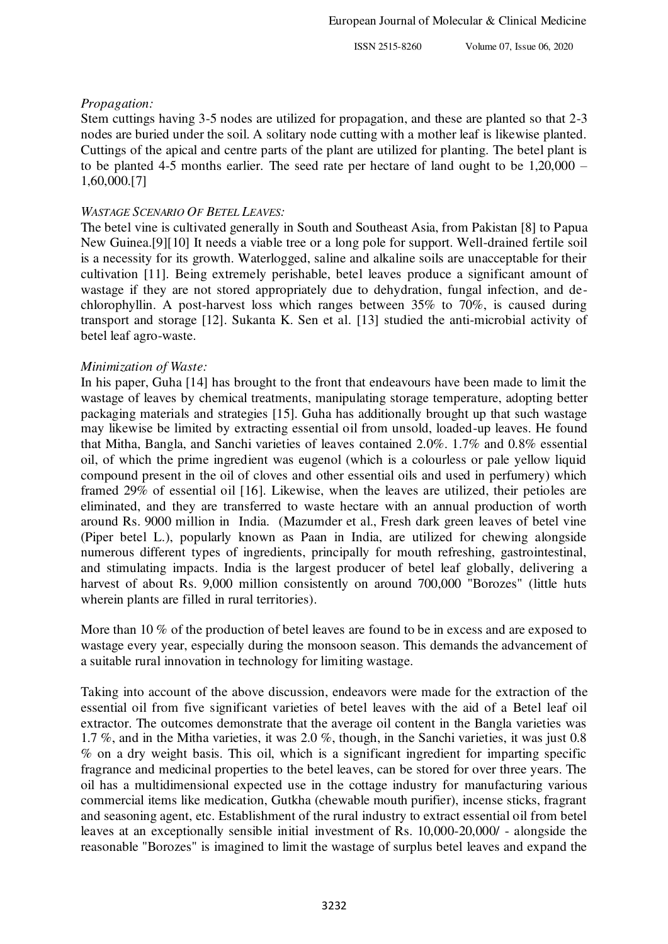#### *Propagation:*

Stem cuttings having 3-5 nodes are utilized for propagation, and these are planted so that 2-3 nodes are buried under the soil. A solitary node cutting with a mother leaf is likewise planted. Cuttings of the apical and centre parts of the plant are utilized for planting. The betel plant is to be planted 4-5 months earlier. The seed rate per hectare of land ought to be 1,20,000 – 1,60,000.[7]

#### *WASTAGE SCENARIO OF BETEL LEAVES:*

The betel vine is cultivated generally in South and Southeast Asia, from Pakistan [8] to Papua New Guinea.[9][10] It needs a viable tree or a long pole for support. Well-drained fertile soil is a necessity for its growth. Waterlogged, saline and alkaline soils are unacceptable for their cultivation [11]. Being extremely perishable, betel leaves produce a significant amount of wastage if they are not stored appropriately due to dehydration, fungal infection, and dechlorophyllin. A post-harvest loss which ranges between 35% to 70%, is caused during transport and storage [12]. Sukanta K. Sen et al. [13] studied the anti-microbial activity of betel leaf agro-waste.

## *Minimization of Waste:*

In his paper, Guha [14] has brought to the front that endeavours have been made to limit the wastage of leaves by chemical treatments, manipulating storage temperature, adopting better packaging materials and strategies [15]. Guha has additionally brought up that such wastage may likewise be limited by extracting essential oil from unsold, loaded-up leaves. He found that Mitha, Bangla, and Sanchi varieties of leaves contained 2.0%. 1.7% and 0.8% essential oil, of which the prime ingredient was eugenol (which is a colourless or pale yellow liquid compound present in the oil of cloves and other essential oils and used in perfumery) which framed 29% of essential oil [16]. Likewise, when the leaves are utilized, their petioles are eliminated, and they are transferred to waste hectare with an annual production of worth around Rs. 9000 million in India. (Mazumder et al., Fresh dark green leaves of betel vine (Piper betel L.), popularly known as Paan in India, are utilized for chewing alongside numerous different types of ingredients, principally for mouth refreshing, gastrointestinal, and stimulating impacts. India is the largest producer of betel leaf globally, delivering a harvest of about Rs. 9,000 million consistently on around 700,000 "Borozes" (little huts wherein plants are filled in rural territories).

More than 10 % of the production of betel leaves are found to be in excess and are exposed to wastage every year, especially during the monsoon season. This demands the advancement of a suitable rural innovation in technology for limiting wastage.

Taking into account of the above discussion, endeavors were made for the extraction of the essential oil from five significant varieties of betel leaves with the aid of a Betel leaf oil extractor. The outcomes demonstrate that the average oil content in the Bangla varieties was 1.7 %, and in the Mitha varieties, it was 2.0 %, though, in the Sanchi varieties, it was just 0.8 % on a dry weight basis. This oil, which is a significant ingredient for imparting specific fragrance and medicinal properties to the betel leaves, can be stored for over three years. The oil has a multidimensional expected use in the cottage industry for manufacturing various commercial items like medication, Gutkha (chewable mouth purifier), incense sticks, fragrant and seasoning agent, etc. Establishment of the rural industry to extract essential oil from betel leaves at an exceptionally sensible initial investment of Rs. 10,000-20,000/ - alongside the reasonable "Borozes" is imagined to limit the wastage of surplus betel leaves and expand the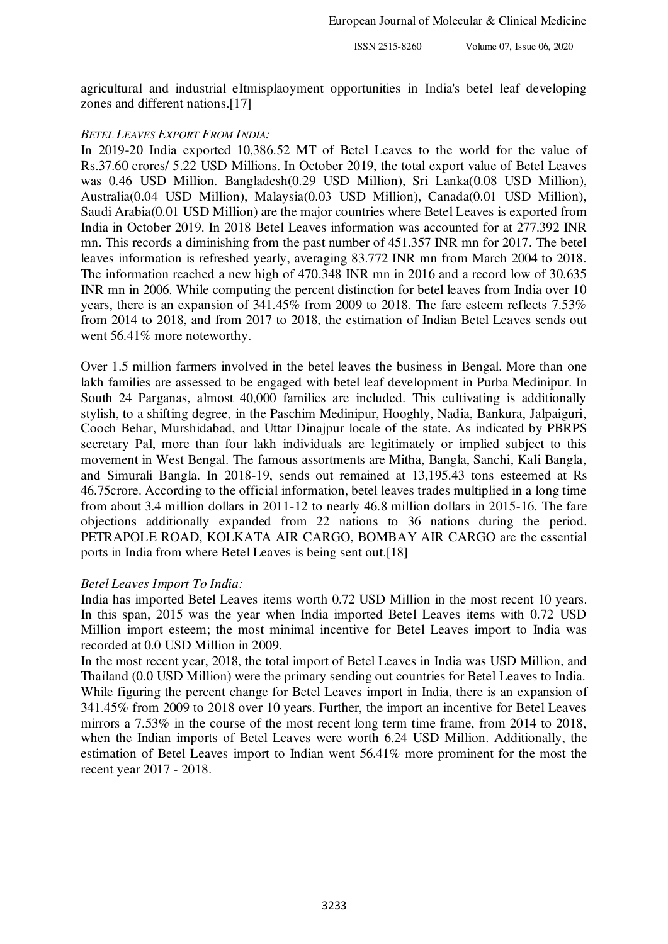agricultural and industrial eItmisplaoyment opportunities in India's betel leaf developing zones and different nations.[17]

#### *BETEL LEAVES EXPORT FROM INDIA:*

In 2019-20 India exported 10,386.52 MT of Betel Leaves to the world for the value of Rs.37.60 crores/ 5.22 USD Millions. In October 2019, the total export value of Betel Leaves was 0.46 USD Million. Bangladesh(0.29 USD Million), Sri Lanka(0.08 USD Million), Australia(0.04 USD Million), Malaysia(0.03 USD Million), Canada(0.01 USD Million), Saudi Arabia(0.01 USD Million) are the major countries where Betel Leaves is exported from India in October 2019. In 2018 Betel Leaves information was accounted for at 277.392 INR mn. This records a diminishing from the past number of 451.357 INR mn for 2017. The betel leaves information is refreshed yearly, averaging 83.772 INR mn from March 2004 to 2018. The information reached a new high of 470.348 INR mn in 2016 and a record low of 30.635 INR mn in 2006. While computing the percent distinction for betel leaves from India over 10 years, there is an expansion of 341.45% from 2009 to 2018. The fare esteem reflects 7.53% from 2014 to 2018, and from 2017 to 2018, the estimation of Indian Betel Leaves sends out went 56.41% more noteworthy.

Over 1.5 million farmers involved in the betel leaves the business in Bengal. More than one lakh families are assessed to be engaged with betel leaf development in Purba Medinipur. In South 24 Parganas, almost 40,000 families are included. This cultivating is additionally stylish, to a shifting degree, in the Paschim Medinipur, Hooghly, Nadia, Bankura, Jalpaiguri, Cooch Behar, Murshidabad, and Uttar Dinajpur locale of the state. As indicated by PBRPS secretary Pal, more than four lakh individuals are legitimately or implied subject to this movement in West Bengal. The famous assortments are Mitha, Bangla, Sanchi, Kali Bangla, and Simurali Bangla. In 2018-19, sends out remained at 13,195.43 tons esteemed at Rs 46.75crore. According to the official information, betel leaves trades multiplied in a long time from about 3.4 million dollars in 2011-12 to nearly 46.8 million dollars in 2015-16. The fare objections additionally expanded from 22 nations to 36 nations during the period. PETRAPOLE ROAD, KOLKATA AIR CARGO, BOMBAY AIR CARGO are the essential ports in India from where Betel Leaves is being sent out.[18]

#### *Betel Leaves Import To India:*

India has imported Betel Leaves items worth 0.72 USD Million in the most recent 10 years. In this span, 2015 was the year when India imported Betel Leaves items with 0.72 USD Million import esteem; the most minimal incentive for Betel Leaves import to India was recorded at 0.0 USD Million in 2009.

In the most recent year, 2018, the total import of Betel Leaves in India was USD Million, and Thailand (0.0 USD Million) were the primary sending out countries for Betel Leaves to India. While figuring the percent change for Betel Leaves import in India, there is an expansion of 341.45% from 2009 to 2018 over 10 years. Further, the import an incentive for Betel Leaves mirrors a 7.53% in the course of the most recent long term time frame, from 2014 to 2018, when the Indian imports of Betel Leaves were worth 6.24 USD Million. Additionally, the estimation of Betel Leaves import to Indian went 56.41% more prominent for the most the recent year 2017 - 2018.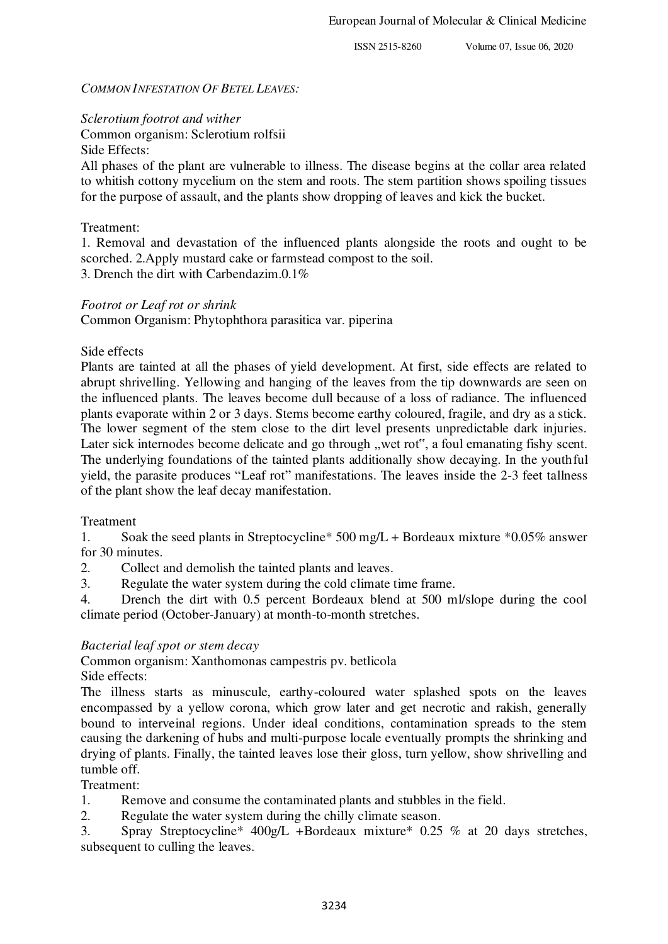## *COMMON INFESTATION OF BETEL LEAVES:*

*Sclerotium footrot and wither* 

Common organism: Sclerotium rolfsii

Side Effects:

All phases of the plant are vulnerable to illness. The disease begins at the collar area related to whitish cottony mycelium on the stem and roots. The stem partition shows spoiling tissues for the purpose of assault, and the plants show dropping of leaves and kick the bucket.

Treatment:

1. Removal and devastation of the influenced plants alongside the roots and ought to be scorched. 2.Apply mustard cake or farmstead compost to the soil. 3. Drench the dirt with Carbendazim.0.1%

# *Footrot or Leaf rot or shrink*

Common Organism: Phytophthora parasitica var. piperina

Side effects

Plants are tainted at all the phases of yield development. At first, side effects are related to abrupt shrivelling. Yellowing and hanging of the leaves from the tip downwards are seen on the influenced plants. The leaves become dull because of a loss of radiance. The influenced plants evaporate within 2 or 3 days. Stems become earthy coloured, fragile, and dry as a stick. The lower segment of the stem close to the dirt level presents unpredictable dark injuries. Later sick internodes become delicate and go through "wet rot", a foul emanating fishy scent. The underlying foundations of the tainted plants additionally show decaying. In the youthful yield, the parasite produces "Leaf rot" manifestations. The leaves inside the 2-3 feet tallness of the plant show the leaf decay manifestation.

# Treatment

1. Soak the seed plants in Streptocycline\* 500 mg/L + Bordeaux mixture \*0.05% answer for 30 minutes.

2. Collect and demolish the tainted plants and leaves.

3. Regulate the water system during the cold climate time frame.

4. Drench the dirt with 0.5 percent Bordeaux blend at 500 ml/slope during the cool climate period (October-January) at month-to-month stretches.

# *Bacterial leaf spot or stem decay*

Common organism: Xanthomonas campestris pv. betlicola Side effects:

The illness starts as minuscule, earthy-coloured water splashed spots on the leaves encompassed by a yellow corona, which grow later and get necrotic and rakish, generally bound to interveinal regions. Under ideal conditions, contamination spreads to the stem causing the darkening of hubs and multi-purpose locale eventually prompts the shrinking and drying of plants. Finally, the tainted leaves lose their gloss, turn yellow, show shrivelling and tumble off.

# Treatment:

1. Remove and consume the contaminated plants and stubbles in the field.

2. Regulate the water system during the chilly climate season.

3. Spray Streptocycline\* 400g/L +Bordeaux mixture\* 0.25 % at 20 days stretches, subsequent to culling the leaves.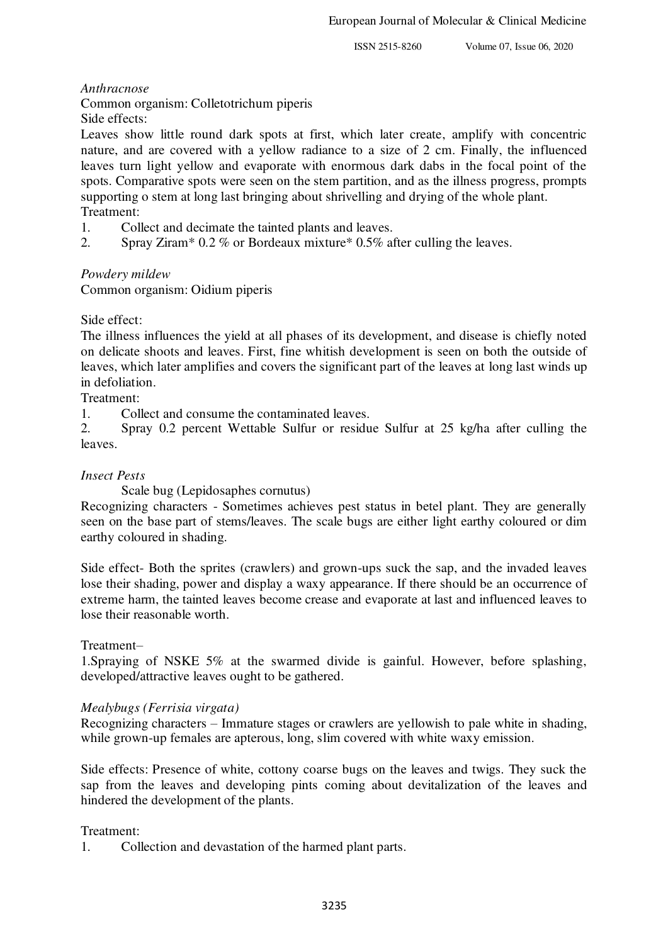## *Anthracnose*

Common organism: Colletotrichum piperis

Side effects:

Leaves show little round dark spots at first, which later create, amplify with concentric nature, and are covered with a yellow radiance to a size of 2 cm. Finally, the influenced leaves turn light yellow and evaporate with enormous dark dabs in the focal point of the spots. Comparative spots were seen on the stem partition, and as the illness progress, prompts supporting o stem at long last bringing about shrivelling and drying of the whole plant. Treatment:

- 1. Collect and decimate the tainted plants and leaves.
- 2. Spray Ziram\* 0.2 % or Bordeaux mixture\* 0.5% after culling the leaves.

# *Powdery mildew*

Common organism: Oidium piperis

## Side effect:

The illness influences the yield at all phases of its development, and disease is chiefly noted on delicate shoots and leaves. First, fine whitish development is seen on both the outside of leaves, which later amplifies and covers the significant part of the leaves at long last winds up in defoliation.

Treatment:

1. Collect and consume the contaminated leaves.

2. Spray 0.2 percent Wettable Sulfur or residue Sulfur at 25 kg/ha after culling the leaves.

#### *Insect Pests*

Scale bug (Lepidosaphes cornutus)

Recognizing characters - Sometimes achieves pest status in betel plant. They are generally seen on the base part of stems/leaves. The scale bugs are either light earthy coloured or dim earthy coloured in shading.

Side effect- Both the sprites (crawlers) and grown-ups suck the sap, and the invaded leaves lose their shading, power and display a waxy appearance. If there should be an occurrence of extreme harm, the tainted leaves become crease and evaporate at last and influenced leaves to lose their reasonable worth.

#### Treatment–

1.Spraying of NSKE 5% at the swarmed divide is gainful. However, before splashing, developed/attractive leaves ought to be gathered.

#### *Mealybugs (Ferrisia virgata)*

Recognizing characters – Immature stages or crawlers are yellowish to pale white in shading, while grown-up females are apterous, long, slim covered with white waxy emission.

Side effects: Presence of white, cottony coarse bugs on the leaves and twigs. They suck the sap from the leaves and developing pints coming about devitalization of the leaves and hindered the development of the plants.

#### Treatment:

1. Collection and devastation of the harmed plant parts.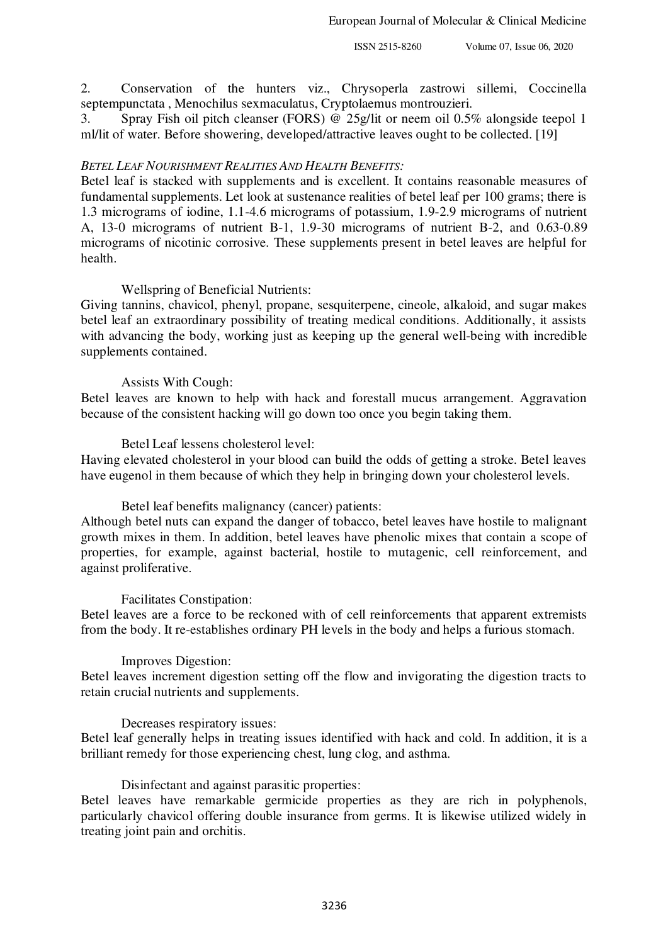2. Conservation of the hunters viz., Chrysoperla zastrowi sillemi, Coccinella septempunctata , Menochilus sexmaculatus, Cryptolaemus montrouzieri.

3. Spray Fish oil pitch cleanser (FORS) @ 25g/lit or neem oil 0.5% alongside teepol 1 ml/lit of water. Before showering, developed/attractive leaves ought to be collected. [19]

#### *BETEL LEAF NOURISHMENT REALITIES AND HEALTH BENEFITS:*

Betel leaf is stacked with supplements and is excellent. It contains reasonable measures of fundamental supplements. Let look at sustenance realities of betel leaf per 100 grams; there is 1.3 micrograms of iodine, 1.1-4.6 micrograms of potassium, 1.9-2.9 micrograms of nutrient A, 13-0 micrograms of nutrient B-1, 1.9-30 micrograms of nutrient B-2, and 0.63-0.89 micrograms of nicotinic corrosive. These supplements present in betel leaves are helpful for health.

#### Wellspring of Beneficial Nutrients:

Giving tannins, chavicol, phenyl, propane, sesquiterpene, cineole, alkaloid, and sugar makes betel leaf an extraordinary possibility of treating medical conditions. Additionally, it assists with advancing the body, working just as keeping up the general well-being with incredible supplements contained.

#### Assists With Cough:

Betel leaves are known to help with hack and forestall mucus arrangement. Aggravation because of the consistent hacking will go down too once you begin taking them.

#### Betel Leaf lessens cholesterol level:

Having elevated cholesterol in your blood can build the odds of getting a stroke. Betel leaves have eugenol in them because of which they help in bringing down your cholesterol levels.

#### Betel leaf benefits malignancy (cancer) patients:

Although betel nuts can expand the danger of tobacco, betel leaves have hostile to malignant growth mixes in them. In addition, betel leaves have phenolic mixes that contain a scope of properties, for example, against bacterial, hostile to mutagenic, cell reinforcement, and against proliferative.

#### Facilitates Constipation:

Betel leaves are a force to be reckoned with of cell reinforcements that apparent extremists from the body. It re-establishes ordinary PH levels in the body and helps a furious stomach.

#### Improves Digestion:

Betel leaves increment digestion setting off the flow and invigorating the digestion tracts to retain crucial nutrients and supplements.

#### Decreases respiratory issues:

Betel leaf generally helps in treating issues identified with hack and cold. In addition, it is a brilliant remedy for those experiencing chest, lung clog, and asthma.

#### Disinfectant and against parasitic properties:

Betel leaves have remarkable germicide properties as they are rich in polyphenols, particularly chavicol offering double insurance from germs. It is likewise utilized widely in treating joint pain and orchitis.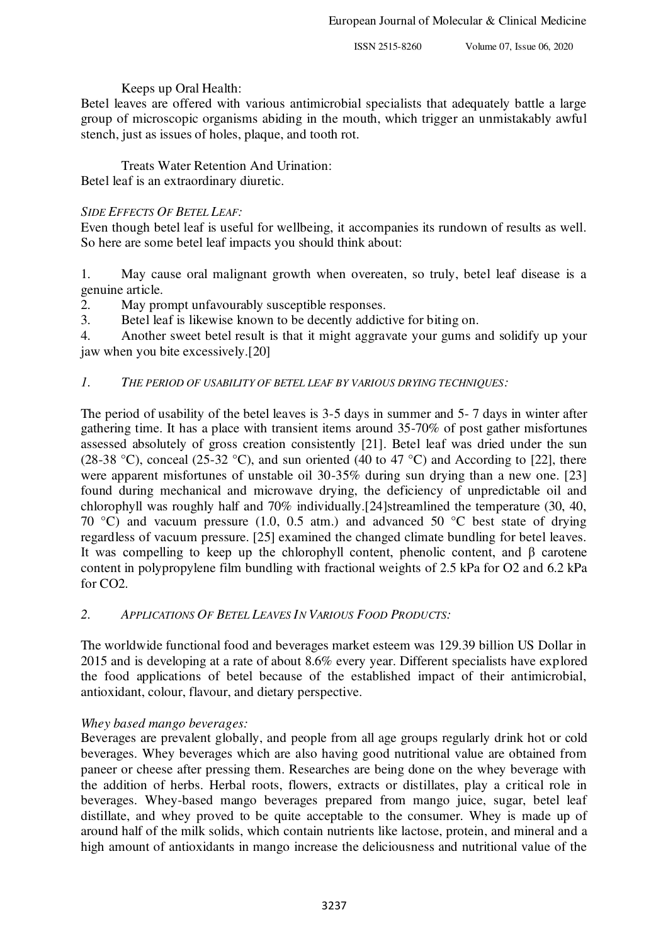# Keeps up Oral Health:

Betel leaves are offered with various antimicrobial specialists that adequately battle a large group of microscopic organisms abiding in the mouth, which trigger an unmistakably awful stench, just as issues of holes, plaque, and tooth rot.

 Treats Water Retention And Urination: Betel leaf is an extraordinary diuretic.

# *SIDE EFFECTS OF BETEL LEAF:*

Even though betel leaf is useful for wellbeing, it accompanies its rundown of results as well. So here are some betel leaf impacts you should think about:

1. May cause oral malignant growth when overeaten, so truly, betel leaf disease is a genuine article.

2. May prompt unfavourably susceptible responses.

3. Betel leaf is likewise known to be decently addictive for biting on.

4. Another sweet betel result is that it might aggravate your gums and solidify up your jaw when you bite excessively.[20]

# *1. THE PERIOD OF USABILITY OF BETEL LEAF BY VARIOUS DRYING TECHNIQUES:*

The period of usability of the betel leaves is 3-5 days in summer and 5- 7 days in winter after gathering time. It has a place with transient items around 35-70% of post gather misfortunes assessed absolutely of gross creation consistently [21]. Betel leaf was dried under the sun (28-38 °C), conceal (25-32 °C), and sun oriented (40 to 47 °C) and According to [22], there were apparent misfortunes of unstable oil 30-35% during sun drying than a new one. [23] found during mechanical and microwave drying, the deficiency of unpredictable oil and chlorophyll was roughly half and 70% individually.[24]streamlined the temperature (30, 40, 70 °C) and vacuum pressure (1.0, 0.5 atm.) and advanced 50 °C best state of drying regardless of vacuum pressure. [25] examined the changed climate bundling for betel leaves. It was compelling to keep up the chlorophyll content, phenolic content, and β carotene content in polypropylene film bundling with fractional weights of 2.5 kPa for O2 and 6.2 kPa for CO2.

# *2. APPLICATIONS OF BETEL LEAVES IN VARIOUS FOOD PRODUCTS:*

The worldwide functional food and beverages market esteem was 129.39 billion US Dollar in 2015 and is developing at a rate of about 8.6% every year. Different specialists have explored the food applications of betel because of the established impact of their antimicrobial, antioxidant, colour, flavour, and dietary perspective.

# *Whey based mango beverages:*

Beverages are prevalent globally, and people from all age groups regularly drink hot or cold beverages. Whey beverages which are also having good nutritional value are obtained from paneer or cheese after pressing them. Researches are being done on the whey beverage with the addition of herbs. Herbal roots, flowers, extracts or distillates, play a critical role in beverages. Whey-based mango beverages prepared from mango juice, sugar, betel leaf distillate, and whey proved to be quite acceptable to the consumer. Whey is made up of around half of the milk solids, which contain nutrients like lactose, protein, and mineral and a high amount of antioxidants in mango increase the deliciousness and nutritional value of the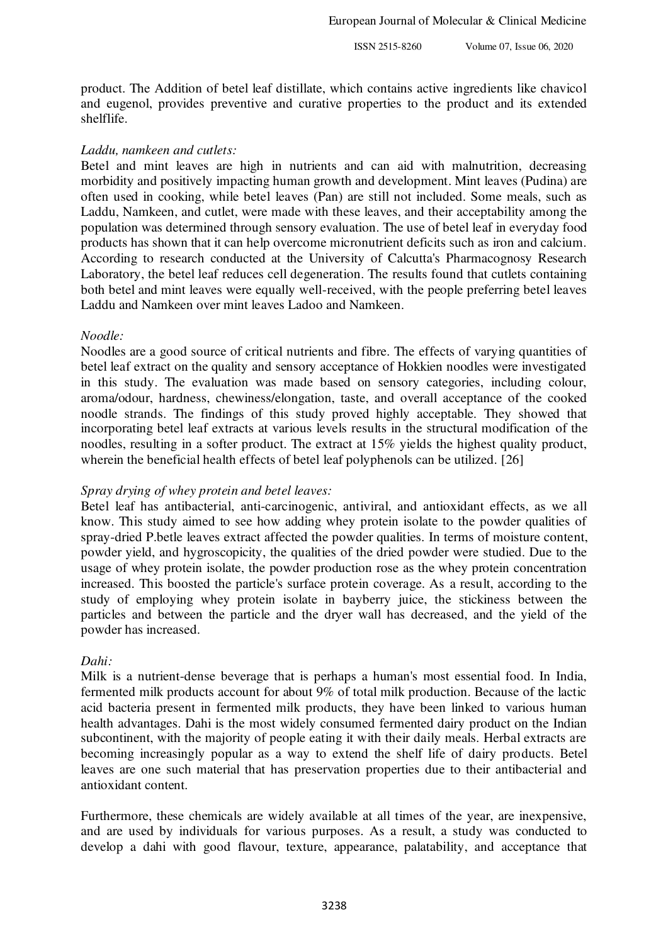product. The Addition of betel leaf distillate, which contains active ingredients like chavicol and eugenol, provides preventive and curative properties to the product and its extended shelflife.

## *Laddu, namkeen and cutlets:*

Betel and mint leaves are high in nutrients and can aid with malnutrition, decreasing morbidity and positively impacting human growth and development. Mint leaves (Pudina) are often used in cooking, while betel leaves (Pan) are still not included. Some meals, such as Laddu, Namkeen, and cutlet, were made with these leaves, and their acceptability among the population was determined through sensory evaluation. The use of betel leaf in everyday food products has shown that it can help overcome micronutrient deficits such as iron and calcium. According to research conducted at the University of Calcutta's Pharmacognosy Research Laboratory, the betel leaf reduces cell degeneration. The results found that cutlets containing both betel and mint leaves were equally well-received, with the people preferring betel leaves Laddu and Namkeen over mint leaves Ladoo and Namkeen.

## *Noodle:*

Noodles are a good source of critical nutrients and fibre. The effects of varying quantities of betel leaf extract on the quality and sensory acceptance of Hokkien noodles were investigated in this study. The evaluation was made based on sensory categories, including colour, aroma/odour, hardness, chewiness/elongation, taste, and overall acceptance of the cooked noodle strands. The findings of this study proved highly acceptable. They showed that incorporating betel leaf extracts at various levels results in the structural modification of the noodles, resulting in a softer product. The extract at 15% yields the highest quality product, wherein the beneficial health effects of betel leaf polyphenols can be utilized. [26]

# *Spray drying of whey protein and betel leaves:*

Betel leaf has antibacterial, anti-carcinogenic, antiviral, and antioxidant effects, as we all know. This study aimed to see how adding whey protein isolate to the powder qualities of spray-dried P.betle leaves extract affected the powder qualities. In terms of moisture content, powder yield, and hygroscopicity, the qualities of the dried powder were studied. Due to the usage of whey protein isolate, the powder production rose as the whey protein concentration increased. This boosted the particle's surface protein coverage. As a result, according to the study of employing whey protein isolate in bayberry juice, the stickiness between the particles and between the particle and the dryer wall has decreased, and the yield of the powder has increased.

#### *Dahi:*

Milk is a nutrient-dense beverage that is perhaps a human's most essential food. In India, fermented milk products account for about 9% of total milk production. Because of the lactic acid bacteria present in fermented milk products, they have been linked to various human health advantages. Dahi is the most widely consumed fermented dairy product on the Indian subcontinent, with the majority of people eating it with their daily meals. Herbal extracts are becoming increasingly popular as a way to extend the shelf life of dairy products. Betel leaves are one such material that has preservation properties due to their antibacterial and antioxidant content.

Furthermore, these chemicals are widely available at all times of the year, are inexpensive, and are used by individuals for various purposes. As a result, a study was conducted to develop a dahi with good flavour, texture, appearance, palatability, and acceptance that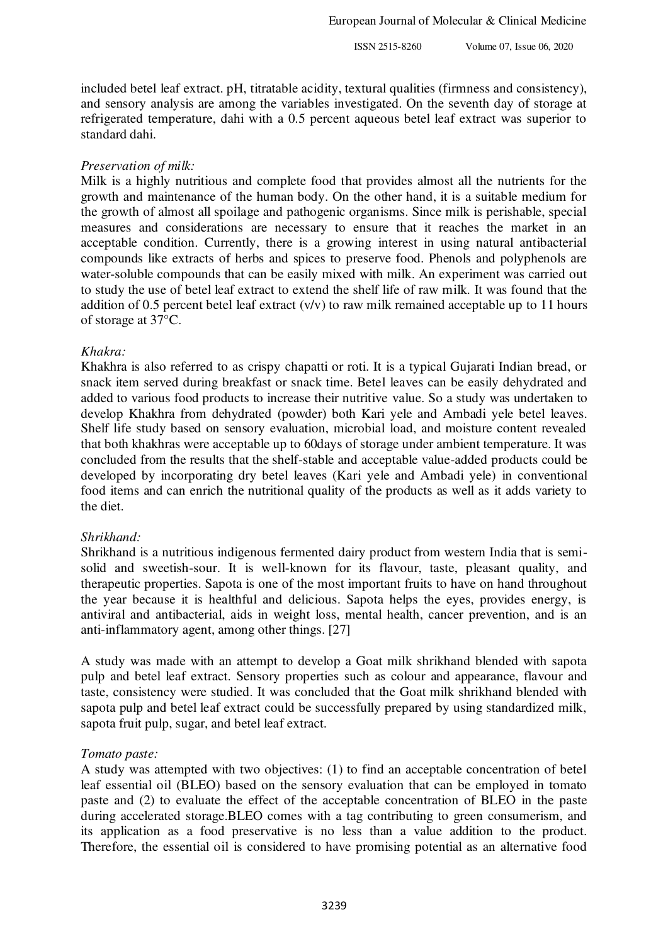included betel leaf extract. pH, titratable acidity, textural qualities (firmness and consistency), and sensory analysis are among the variables investigated. On the seventh day of storage at refrigerated temperature, dahi with a 0.5 percent aqueous betel leaf extract was superior to standard dahi.

# *Preservation of milk:*

Milk is a highly nutritious and complete food that provides almost all the nutrients for the growth and maintenance of the human body. On the other hand, it is a suitable medium for the growth of almost all spoilage and pathogenic organisms. Since milk is perishable, special measures and considerations are necessary to ensure that it reaches the market in an acceptable condition. Currently, there is a growing interest in using natural antibacterial compounds like extracts of herbs and spices to preserve food. Phenols and polyphenols are water-soluble compounds that can be easily mixed with milk. An experiment was carried out to study the use of betel leaf extract to extend the shelf life of raw milk. It was found that the addition of 0.5 percent betel leaf extract (v/v) to raw milk remained acceptable up to 11 hours of storage at 37°C.

## *Khakra:*

Khakhra is also referred to as crispy chapatti or roti. It is a typical Gujarati Indian bread, or snack item served during breakfast or snack time. Betel leaves can be easily dehydrated and added to various food products to increase their nutritive value. So a study was undertaken to develop Khakhra from dehydrated (powder) both Kari yele and Ambadi yele betel leaves. Shelf life study based on sensory evaluation, microbial load, and moisture content revealed that both khakhras were acceptable up to 60days of storage under ambient temperature. It was concluded from the results that the shelf-stable and acceptable value-added products could be developed by incorporating dry betel leaves (Kari yele and Ambadi yele) in conventional food items and can enrich the nutritional quality of the products as well as it adds variety to the diet.

#### *Shrikhand:*

Shrikhand is a nutritious indigenous fermented dairy product from western India that is semisolid and sweetish-sour. It is well-known for its flavour, taste, pleasant quality, and therapeutic properties. Sapota is one of the most important fruits to have on hand throughout the year because it is healthful and delicious. Sapota helps the eyes, provides energy, is antiviral and antibacterial, aids in weight loss, mental health, cancer prevention, and is an anti-inflammatory agent, among other things. [27]

A study was made with an attempt to develop a Goat milk shrikhand blended with sapota pulp and betel leaf extract. Sensory properties such as colour and appearance, flavour and taste, consistency were studied. It was concluded that the Goat milk shrikhand blended with sapota pulp and betel leaf extract could be successfully prepared by using standardized milk, sapota fruit pulp, sugar, and betel leaf extract.

# *Tomato paste:*

A study was attempted with two objectives: (1) to find an acceptable concentration of betel leaf essential oil (BLEO) based on the sensory evaluation that can be employed in tomato paste and (2) to evaluate the effect of the acceptable concentration of BLEO in the paste during accelerated storage.BLEO comes with a tag contributing to green consumerism, and its application as a food preservative is no less than a value addition to the product. Therefore, the essential oil is considered to have promising potential as an alternative food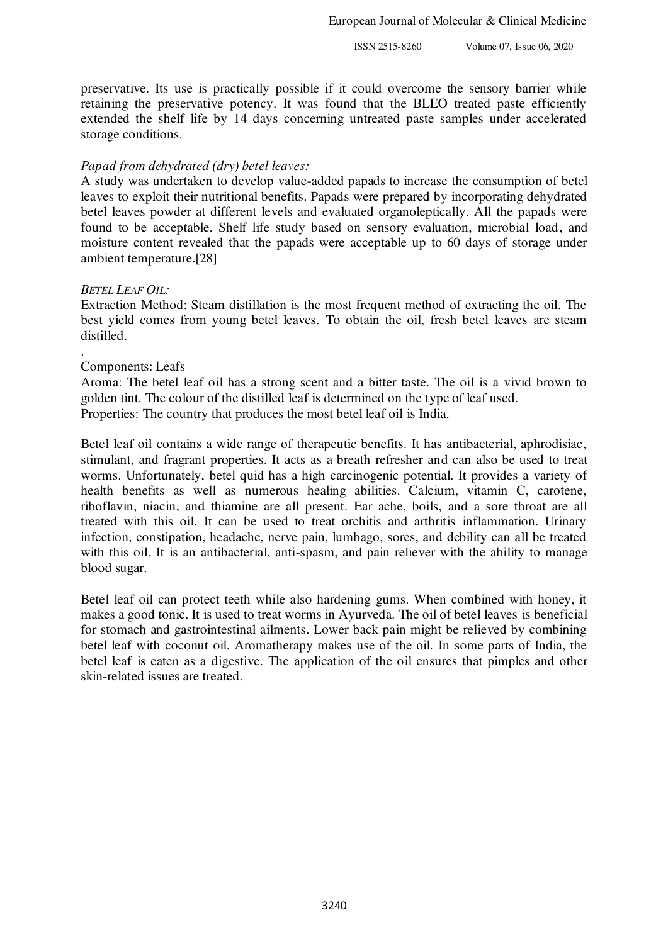preservative. Its use is practically possible if it could overcome the sensory barrier while retaining the preservative potency. It was found that the BLEO treated paste efficiently extended the shelf life by 14 days concerning untreated paste samples under accelerated storage conditions.

#### *Papad from dehydrated (dry) betel leaves:*

A study was undertaken to develop value-added papads to increase the consumption of betel leaves to exploit their nutritional benefits. Papads were prepared by incorporating dehydrated betel leaves powder at different levels and evaluated organoleptically. All the papads were found to be acceptable. Shelf life study based on sensory evaluation, microbial load, and moisture content revealed that the papads were acceptable up to 60 days of storage under ambient temperature.[28]

#### *BETEL LEAF OIL:*

Extraction Method: Steam distillation is the most frequent method of extracting the oil. The best yield comes from young betel leaves. To obtain the oil, fresh betel leaves are steam distilled.

#### . Components: Leafs

Aroma: The betel leaf oil has a strong scent and a bitter taste. The oil is a vivid brown to golden tint. The colour of the distilled leaf is determined on the type of leaf used. Properties: The country that produces the most betel leaf oil is India.

Betel leaf oil contains a wide range of therapeutic benefits. It has antibacterial, aphrodisiac, stimulant, and fragrant properties. It acts as a breath refresher and can also be used to treat worms. Unfortunately, betel quid has a high carcinogenic potential. It provides a variety of health benefits as well as numerous healing abilities. Calcium, vitamin C, carotene, riboflavin, niacin, and thiamine are all present. Ear ache, boils, and a sore throat are all treated with this oil. It can be used to treat orchitis and arthritis inflammation. Urinary infection, constipation, headache, nerve pain, lumbago, sores, and debility can all be treated with this oil. It is an antibacterial, anti-spasm, and pain reliever with the ability to manage blood sugar.

Betel leaf oil can protect teeth while also hardening gums. When combined with honey, it makes a good tonic. It is used to treat worms in Ayurveda. The oil of betel leaves is beneficial for stomach and gastrointestinal ailments. Lower back pain might be relieved by combining betel leaf with coconut oil. Aromatherapy makes use of the oil. In some parts of India, the betel leaf is eaten as a digestive. The application of the oil ensures that pimples and other skin-related issues are treated.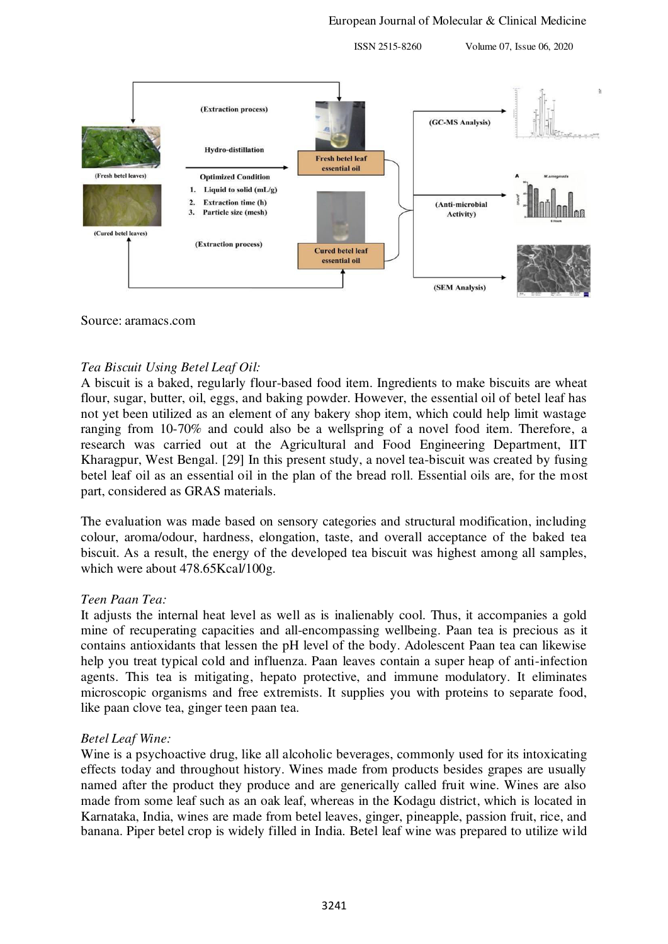(Extraction process) (GC-MS Analysis **Hydro-distillation Fresh betel leaf** essential oil (Fresh betel leaves) **Optimized Condition** 1. Liquid to solid  $(mL/g)$ **Extraction time (h)**  $2.$ (Anti-microbial  $\mathbf{3}$ . Particle size (mesh) Activity) (Cured betel leaves) (Extraction process) **Cured betel leaf** essential oil (SEM Analysis)

#### Source: aramacs.com

# *Tea Biscuit Using Betel Leaf Oil:*

A biscuit is a baked, regularly flour-based food item. Ingredients to make biscuits are wheat flour, sugar, butter, oil, eggs, and baking powder. However, the essential oil of betel leaf has not yet been utilized as an element of any bakery shop item, which could help limit wastage ranging from 10-70% and could also be a wellspring of a novel food item. Therefore, a research was carried out at the Agricultural and Food Engineering Department, IIT Kharagpur, West Bengal. [29] In this present study, a novel tea-biscuit was created by fusing betel leaf oil as an essential oil in the plan of the bread roll. Essential oils are, for the most part, considered as GRAS materials.

The evaluation was made based on sensory categories and structural modification, including colour, aroma/odour, hardness, elongation, taste, and overall acceptance of the baked tea biscuit. As a result, the energy of the developed tea biscuit was highest among all samples, which were about 478.65Kcal/100g.

#### *Teen Paan Tea:*

It adjusts the internal heat level as well as is inalienably cool. Thus, it accompanies a gold mine of recuperating capacities and all-encompassing wellbeing. Paan tea is precious as it contains antioxidants that lessen the pH level of the body. Adolescent Paan tea can likewise help you treat typical cold and influenza. Paan leaves contain a super heap of anti-infection agents. This tea is mitigating, hepato protective, and immune modulatory. It eliminates microscopic organisms and free extremists. It supplies you with proteins to separate food, like paan clove tea, ginger teen paan tea.

# *Betel Leaf Wine:*

Wine is a psychoactive drug, like all alcoholic beverages, commonly used for its intoxicating effects today and throughout history. Wines made from products besides grapes are usually named after the product they produce and are generically called fruit wine. Wines are also made from some leaf such as an oak leaf, whereas in the Kodagu district, which is located in Karnataka, India, wines are made from betel leaves, ginger, pineapple, passion fruit, rice, and banana. Piper betel crop is widely filled in India. Betel leaf wine was prepared to utilize wild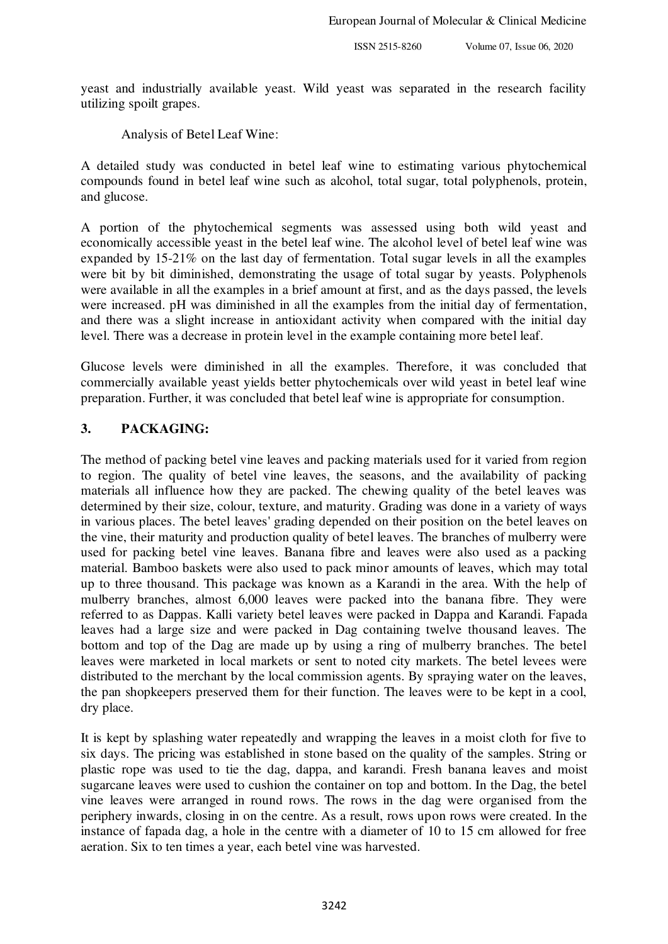yeast and industrially available yeast. Wild yeast was separated in the research facility utilizing spoilt grapes.

## Analysis of Betel Leaf Wine:

A detailed study was conducted in betel leaf wine to estimating various phytochemical compounds found in betel leaf wine such as alcohol, total sugar, total polyphenols, protein, and glucose.

A portion of the phytochemical segments was assessed using both wild yeast and economically accessible yeast in the betel leaf wine. The alcohol level of betel leaf wine was expanded by 15-21% on the last day of fermentation. Total sugar levels in all the examples were bit by bit diminished, demonstrating the usage of total sugar by yeasts. Polyphenols were available in all the examples in a brief amount at first, and as the days passed, the levels were increased. pH was diminished in all the examples from the initial day of fermentation, and there was a slight increase in antioxidant activity when compared with the initial day level. There was a decrease in protein level in the example containing more betel leaf.

Glucose levels were diminished in all the examples. Therefore, it was concluded that commercially available yeast yields better phytochemicals over wild yeast in betel leaf wine preparation. Further, it was concluded that betel leaf wine is appropriate for consumption.

# **3. PACKAGING:**

The method of packing betel vine leaves and packing materials used for it varied from region to region. The quality of betel vine leaves, the seasons, and the availability of packing materials all influence how they are packed. The chewing quality of the betel leaves was determined by their size, colour, texture, and maturity. Grading was done in a variety of ways in various places. The betel leaves' grading depended on their position on the betel leaves on the vine, their maturity and production quality of betel leaves. The branches of mulberry were used for packing betel vine leaves. Banana fibre and leaves were also used as a packing material. Bamboo baskets were also used to pack minor amounts of leaves, which may total up to three thousand. This package was known as a Karandi in the area. With the help of mulberry branches, almost 6,000 leaves were packed into the banana fibre. They were referred to as Dappas. Kalli variety betel leaves were packed in Dappa and Karandi. Fapada leaves had a large size and were packed in Dag containing twelve thousand leaves. The bottom and top of the Dag are made up by using a ring of mulberry branches. The betel leaves were marketed in local markets or sent to noted city markets. The betel levees were distributed to the merchant by the local commission agents. By spraying water on the leaves, the pan shopkeepers preserved them for their function. The leaves were to be kept in a cool, dry place.

It is kept by splashing water repeatedly and wrapping the leaves in a moist cloth for five to six days. The pricing was established in stone based on the quality of the samples. String or plastic rope was used to tie the dag, dappa, and karandi. Fresh banana leaves and moist sugarcane leaves were used to cushion the container on top and bottom. In the Dag, the betel vine leaves were arranged in round rows. The rows in the dag were organised from the periphery inwards, closing in on the centre. As a result, rows upon rows were created. In the instance of fapada dag, a hole in the centre with a diameter of 10 to 15 cm allowed for free aeration. Six to ten times a year, each betel vine was harvested.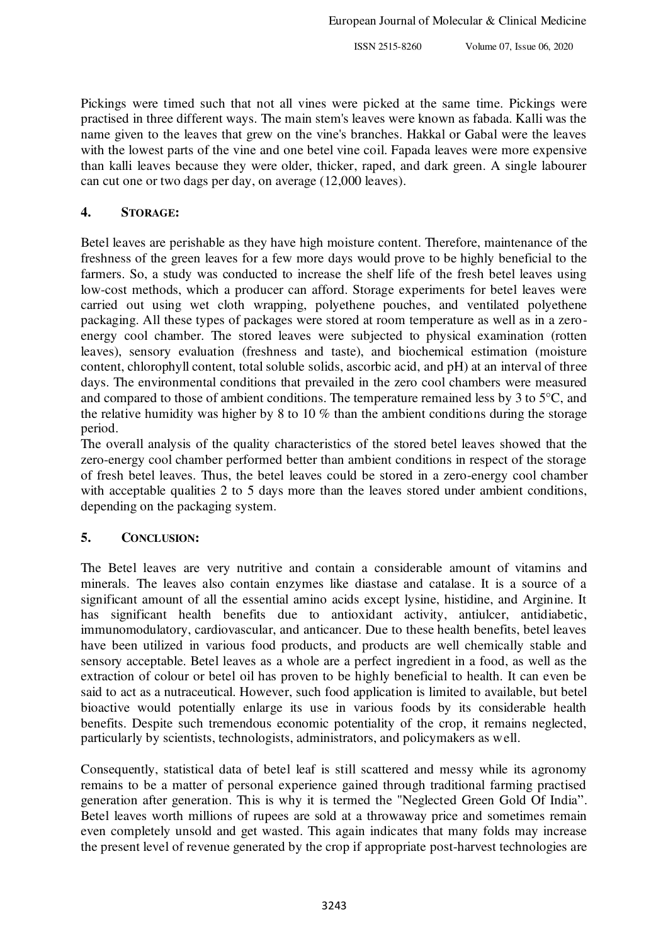Pickings were timed such that not all vines were picked at the same time. Pickings were practised in three different ways. The main stem's leaves were known as fabada. Kalli was the name given to the leaves that grew on the vine's branches. Hakkal or Gabal were the leaves with the lowest parts of the vine and one betel vine coil. Fapada leaves were more expensive than kalli leaves because they were older, thicker, raped, and dark green. A single labourer can cut one or two dags per day, on average (12,000 leaves).

# **4. STORAGE:**

Betel leaves are perishable as they have high moisture content. Therefore, maintenance of the freshness of the green leaves for a few more days would prove to be highly beneficial to the farmers. So, a study was conducted to increase the shelf life of the fresh betel leaves using low-cost methods, which a producer can afford. Storage experiments for betel leaves were carried out using wet cloth wrapping, polyethene pouches, and ventilated polyethene packaging. All these types of packages were stored at room temperature as well as in a zeroenergy cool chamber. The stored leaves were subjected to physical examination (rotten leaves), sensory evaluation (freshness and taste), and biochemical estimation (moisture content, chlorophyll content, total soluble solids, ascorbic acid, and pH) at an interval of three days. The environmental conditions that prevailed in the zero cool chambers were measured and compared to those of ambient conditions. The temperature remained less by 3 to 5°C, and the relative humidity was higher by 8 to 10 % than the ambient conditions during the storage period.

The overall analysis of the quality characteristics of the stored betel leaves showed that the zero-energy cool chamber performed better than ambient conditions in respect of the storage of fresh betel leaves. Thus, the betel leaves could be stored in a zero-energy cool chamber with acceptable qualities 2 to 5 days more than the leaves stored under ambient conditions, depending on the packaging system.

# **5. CONCLUSION:**

The Betel leaves are very nutritive and contain a considerable amount of vitamins and minerals. The leaves also contain enzymes like diastase and catalase. It is a source of a significant amount of all the essential amino acids except lysine, histidine, and Arginine. It has significant health benefits due to antioxidant activity, antiulcer, antidiabetic, immunomodulatory, cardiovascular, and anticancer. Due to these health benefits, betel leaves have been utilized in various food products, and products are well chemically stable and sensory acceptable. Betel leaves as a whole are a perfect ingredient in a food, as well as the extraction of colour or betel oil has proven to be highly beneficial to health. It can even be said to act as a nutraceutical. However, such food application is limited to available, but betel bioactive would potentially enlarge its use in various foods by its considerable health benefits. Despite such tremendous economic potentiality of the crop, it remains neglected, particularly by scientists, technologists, administrators, and policymakers as well.

Consequently, statistical data of betel leaf is still scattered and messy while its agronomy remains to be a matter of personal experience gained through traditional farming practised generation after generation. This is why it is termed the "Neglected Green Gold Of India". Betel leaves worth millions of rupees are sold at a throwaway price and sometimes remain even completely unsold and get wasted. This again indicates that many folds may increase the present level of revenue generated by the crop if appropriate post-harvest technologies are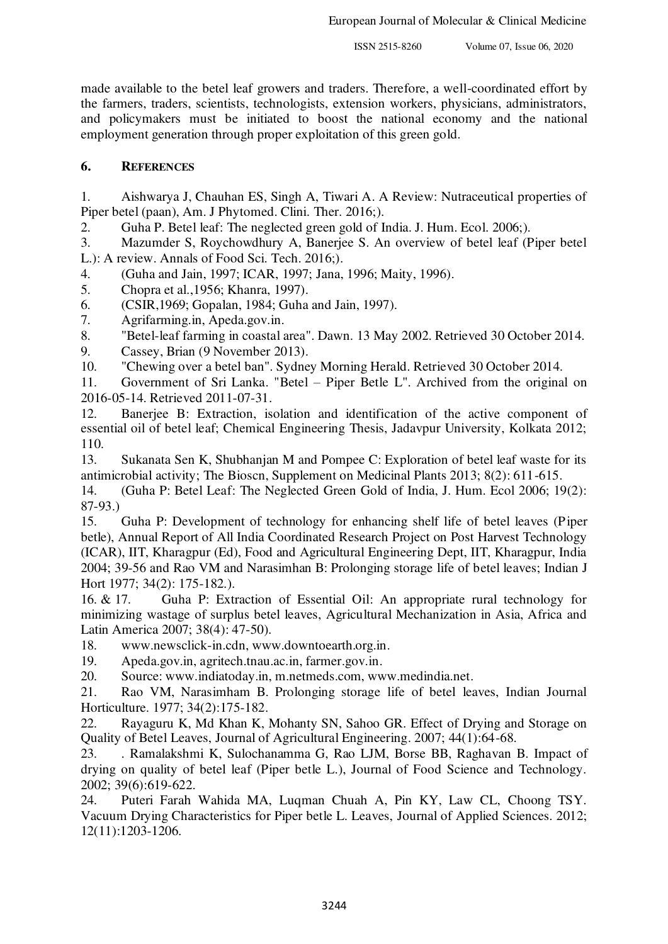made available to the betel leaf growers and traders. Therefore, a well-coordinated effort by the farmers, traders, scientists, technologists, extension workers, physicians, administrators, and policymakers must be initiated to boost the national economy and the national employment generation through proper exploitation of this green gold.

# **6. REFERENCES**

1. Aishwarya J, Chauhan ES, Singh A, Tiwari A. A Review: Nutraceutical properties of Piper betel (paan), Am. J Phytomed. Clini. Ther. 2016;).

2. Guha P. Betel leaf: The neglected green gold of India. J. Hum. Ecol. 2006;).

3. Mazumder S, Roychowdhury A, Banerjee S. An overview of betel leaf (Piper betel L.): A review. Annals of Food Sci. Tech. 2016;).

4. (Guha and Jain, 1997; ICAR, 1997; Jana, 1996; Maity, 1996).

5. Chopra et al.,1956; Khanra, 1997).

6. (CSIR,1969; Gopalan, 1984; Guha and Jain, 1997).

7. Agrifarming.in, Apeda.gov.in.

8. "Betel-leaf farming in coastal area". Dawn. 13 May 2002. Retrieved 30 October 2014.

9. Cassey, Brian (9 November 2013).

10. "Chewing over a betel ban". Sydney Morning Herald. Retrieved 30 October 2014.

11. Government of Sri Lanka. "Betel – Piper Betle L". Archived from the original on 2016-05-14. Retrieved 2011-07-31.

12. Banerjee B: Extraction, isolation and identification of the active component of essential oil of betel leaf; Chemical Engineering Thesis, Jadavpur University, Kolkata 2012; 110.

13. Sukanata Sen K, Shubhanjan M and Pompee C: Exploration of betel leaf waste for its antimicrobial activity; The Bioscn, Supplement on Medicinal Plants 2013; 8(2): 611-615.

14. (Guha P: Betel Leaf: The Neglected Green Gold of India, J. Hum. Ecol 2006; 19(2):  $87-93.$ )<br>15.

15. Guha P: Development of technology for enhancing shelf life of betel leaves (Piper betle), Annual Report of All India Coordinated Research Project on Post Harvest Technology (ICAR), IIT, Kharagpur (Ed), Food and Agricultural Engineering Dept, IIT, Kharagpur, India 2004; 39-56 and Rao VM and Narasimhan B: Prolonging storage life of betel leaves; Indian J Hort 1977; 34(2): 175-182.).

16. & 17. Guha P: Extraction of Essential Oil: An appropriate rural technology for minimizing wastage of surplus betel leaves, Agricultural Mechanization in Asia, Africa and Latin America 2007; 38(4): 47-50).

18. www.newsclick-in.cdn, www.downtoearth.org.in.

19. Apeda.gov.in, agritech.tnau.ac.in, farmer.gov.in.

20. Source: www.indiatoday.in, m.netmeds.com, www.medindia.net.

21. Rao VM, Narasimham B. Prolonging storage life of betel leaves, Indian Journal Horticulture. 1977; 34(2):175-182.

22. Rayaguru K, Md Khan K, Mohanty SN, Sahoo GR. Effect of Drying and Storage on Quality of Betel Leaves, Journal of Agricultural Engineering. 2007; 44(1):64-68.

23. . Ramalakshmi K, Sulochanamma G, Rao LJM, Borse BB, Raghavan B. Impact of drying on quality of betel leaf (Piper betle L.), Journal of Food Science and Technology. 2002; 39(6):619-622.

24. Puteri Farah Wahida MA, Luqman Chuah A, Pin KY, Law CL, Choong TSY. Vacuum Drying Characteristics for Piper betle L. Leaves, Journal of Applied Sciences. 2012; 12(11):1203-1206.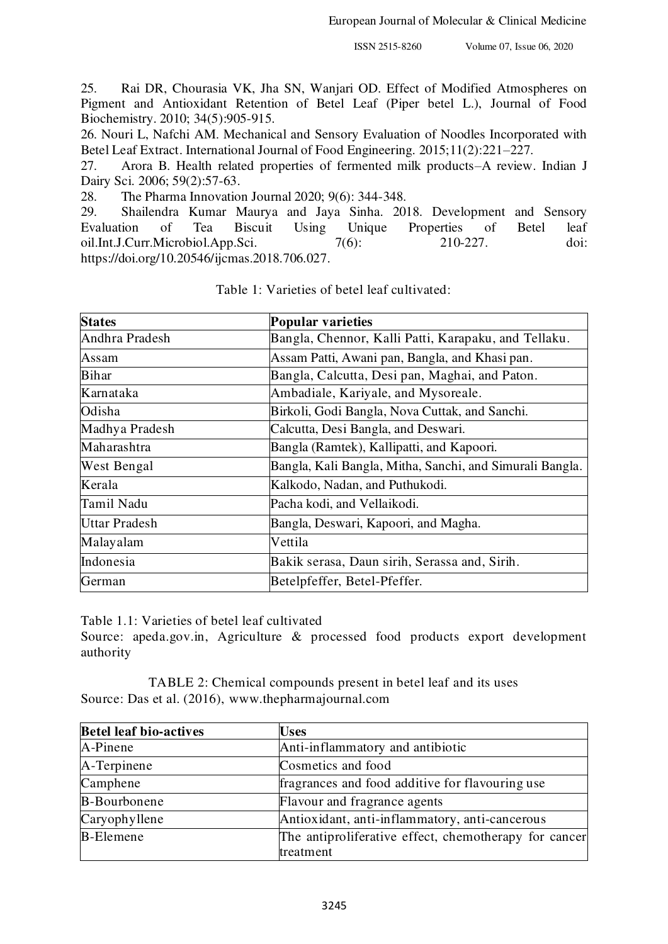25. Rai DR, Chourasia VK, Jha SN, Wanjari OD. Effect of Modified Atmospheres on Pigment and Antioxidant Retention of Betel Leaf (Piper betel L.), Journal of Food Biochemistry. 2010; 34(5):905-915.

26. Nouri L, Nafchi AM. Mechanical and Sensory Evaluation of Noodles Incorporated with Betel Leaf Extract. International Journal of Food Engineering. 2015;11(2):221–227.

27. Arora B. Health related properties of fermented milk products–A review. Indian J Dairy Sci. 2006; 59(2):57-63.

28. The Pharma Innovation Journal 2020; 9(6): 344-348.

29. Shailendra Kumar Maurya and Jaya Sinha. 2018. Development and Sensory Evaluation of Tea Biscuit Using Unique Properties of Betel leaf oil.Int.J.Curr.Microbiol.App.Sci. 7(6): 210-227. doi: https://doi.org/10.20546/ijcmas.2018.706.027.

| <b>States</b>      | <b>Popular varieties</b>                                 |
|--------------------|----------------------------------------------------------|
| Andhra Pradesh     | Bangla, Chennor, Kalli Patti, Karapaku, and Tellaku.     |
| Assam              | Assam Patti, Awani pan, Bangla, and Khasi pan.           |
| <b>Bihar</b>       | Bangla, Calcutta, Desi pan, Maghai, and Paton.           |
| Karnataka          | Ambadiale, Kariyale, and Mysoreale.                      |
| Odisha             | Birkoli, Godi Bangla, Nova Cuttak, and Sanchi.           |
| Madhya Pradesh     | Calcutta, Desi Bangla, and Deswari.                      |
| Maharashtra        | Bangla (Ramtek), Kallipatti, and Kapoori.                |
| <b>West Bengal</b> | Bangla, Kali Bangla, Mitha, Sanchi, and Simurali Bangla. |
| Kerala             | Kalkodo, Nadan, and Puthukodi.                           |
| Tamil Nadu         | Pacha kodi, and Vellaikodi.                              |
| Uttar Pradesh      | Bangla, Deswari, Kapoori, and Magha.                     |
| Malayalam          | Vettila                                                  |
| Indonesia          | Bakik serasa, Daun sirih, Serassa and, Sirih.            |
| German             | Betelpfeffer, Betel-Pfeffer.                             |

Table 1: Varieties of betel leaf cultivated:

Table 1.1: Varieties of betel leaf cultivated

Source: apeda.gov.in, Agriculture & processed food products export development authority

TABLE 2: Chemical compounds present in betel leaf and its uses Source: Das et al. (2016), [www.thepharmajournal.com](http://www.thepharmajournal.com/) 

| <b>Betel leaf bio-actives</b> | <b>Uses</b>                                           |  |  |  |  |  |
|-------------------------------|-------------------------------------------------------|--|--|--|--|--|
| A-Pinene                      | Anti-inflammatory and antibiotic                      |  |  |  |  |  |
| $A$ -Terpinene                | Cosmetics and food                                    |  |  |  |  |  |
| Camphene                      | fragrances and food additive for flavouring use       |  |  |  |  |  |
| <b>B-Bourbonene</b>           | Flavour and fragrance agents                          |  |  |  |  |  |
| Caryophyllene                 | Antioxidant, anti-inflammatory, anti-cancerous        |  |  |  |  |  |
| <b>B-Elemene</b>              | The antiproliferative effect, chemotherapy for cancer |  |  |  |  |  |
|                               | treatment                                             |  |  |  |  |  |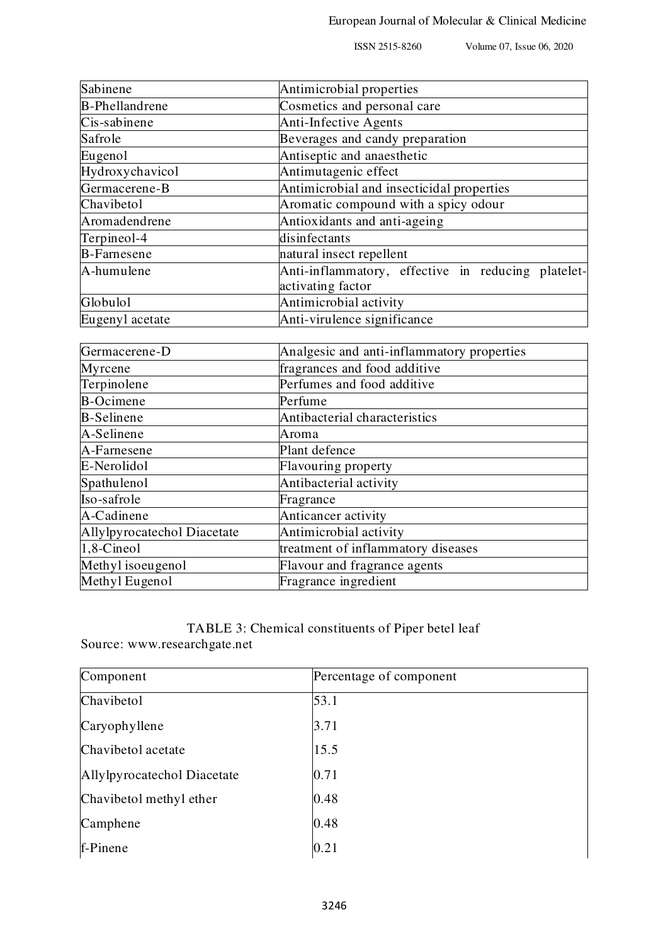| Sabinene                    | Antimicrobial properties                                                |
|-----------------------------|-------------------------------------------------------------------------|
| <b>B-Phellandrene</b>       | Cosmetics and personal care                                             |
| Cis-sabinene                | Anti-Infective Agents                                                   |
| Safrole                     | Beverages and candy preparation                                         |
| Eugenol                     | Antiseptic and anaesthetic                                              |
| Hydroxychavicol             | Antimutagenic effect                                                    |
| Germacerene-B               | Antimicrobial and insecticidal properties                               |
| Chavibetol                  | Aromatic compound with a spicy odour                                    |
| Aromadendrene               | Antioxidants and anti-ageing                                            |
| Terpineol-4                 | disinfectants                                                           |
| <b>B-Farnesene</b>          | natural insect repellent                                                |
| A-humulene                  | Anti-inflammatory, effective in reducing platelet-<br>activating factor |
| Globulol                    | Antimicrobial activity                                                  |
| Eugenyl acetate             | Anti-virulence significance                                             |
|                             |                                                                         |
| Germacerene-D               | Analgesic and anti-inflammatory properties                              |
| Myrcene                     | fragrances and food additive                                            |
| Terpinolene                 | Perfumes and food additive                                              |
| <b>B-Ocimene</b>            | Perfume                                                                 |
| <b>B-Selinene</b>           | Antibacterial characteristics                                           |
| A-Selinene                  | Aroma                                                                   |
| A-Farnesene                 | Plant defence                                                           |
| E-Nerolidol                 | Flavouring property                                                     |
| Spathulenol                 | Antibacterial activity                                                  |
| Iso-safrole                 | Fragrance                                                               |
| A-Cadinene                  | Anticancer activity                                                     |
| Allylpyrocatechol Diacetate | Antimicrobial activity                                                  |
| 1,8-Cineol                  | treatment of inflammatory diseases                                      |
| Methyl isoeugenol           | Flavour and fragrance agents                                            |
| Methyl Eugenol              | Fragrance ingredient                                                    |

# TABLE 3: Chemical constituents of Piper betel leaf

Source: [www.researchgate.net](http://www.researchgate.net/) 

| Component                   | Percentage of component |
|-----------------------------|-------------------------|
| Chavibetol                  | 53.1                    |
| Caryophyllene               | 3.71                    |
| Chavibetol acetate          | 15.5                    |
| Allylpyrocatechol Diacetate | 0.71                    |
| Chavibetol methyl ether     | 0.48                    |
| Camphene                    | 0.48                    |
| f-Pinene                    | 0.21                    |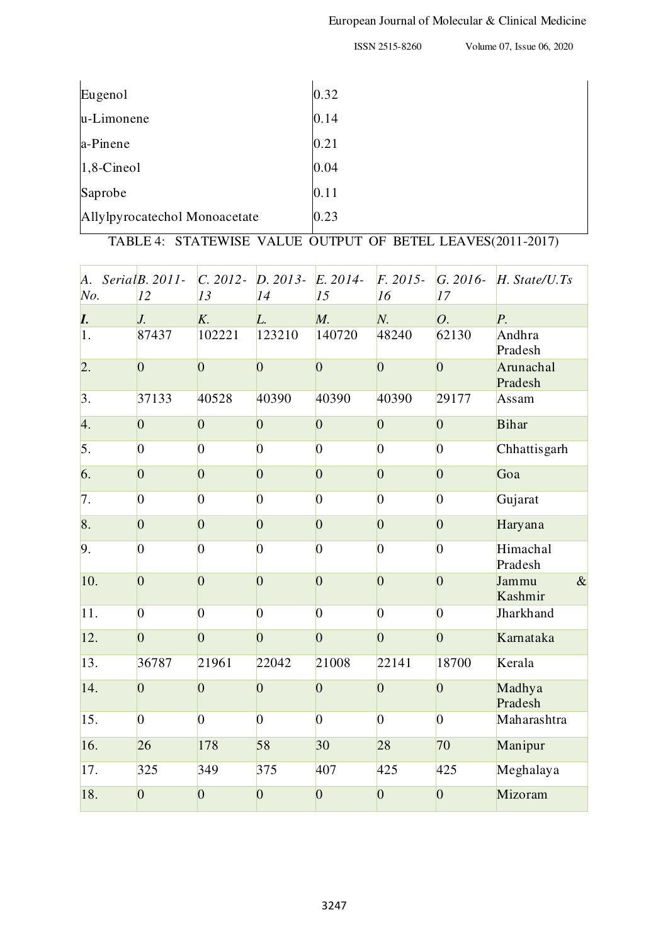# European Journal of Molecular & Clinical Medicine

ISSN 2515-8260 Volume 07, Issue 06, 2020

| Eugenol                       | 0.32 |
|-------------------------------|------|
| u-Limonene                    | 0.14 |
| a-Pinene                      | 0.21 |
| $1,8$ -Cineol                 | 0.04 |
| Saprobe                       | 0.11 |
| Allylpyrocatechol Monoacetate | 0.23 |

TABLE 4: STATEWISE VALUE OUTPUT OF BETEL LEAVES(2011-2017)

| A.<br>$N_o$ .    | Serial $B. 2011$ -<br>12 | $C. 2012 -$<br>13 | D. 2013 E. 2014-<br>14 | 15             | $F. 2015 -$<br>16 | 17             | $G. 2016 - H. State/U.Ts$    |
|------------------|--------------------------|-------------------|------------------------|----------------|-------------------|----------------|------------------------------|
| I.               | $J_{\cdot}$              | K.                | L.                     | M.             | N.                | 0.             | $P_{\cdot}$                  |
| 1.               | 87437                    | 102221            | 123210                 | 140720         | 48240             | 62130          | Andhra<br>Pradesh            |
| $\overline{2}$ . | $\overline{0}$           | $\overline{0}$    | $\overline{0}$         | $\overline{0}$ | $\overline{0}$    | $\overline{0}$ | Arunachal<br>Pradesh         |
| 3.               | 37133                    | 40528             | 40390                  | 40390          | 40390             | 29177          | Assam                        |
| 4.               | $\overline{0}$           | $\overline{0}$    | $\overline{0}$         | $\overline{0}$ | $\overline{0}$    | $\overline{0}$ | <b>Bihar</b>                 |
| $\vert$ 5.       | $\overline{0}$           | $\overline{0}$    | $\overline{0}$         | $\overline{0}$ | $\overline{0}$    | $\overline{0}$ | Chhattisgarh                 |
| 6.               | $\overline{0}$           | $\overline{0}$    | $\overline{0}$         | $\overline{0}$ | $\overline{0}$    | $\overline{0}$ | Goa                          |
| $\overline{7}$ . | 0                        | $\overline{0}$    | $\overline{0}$         | $\overline{0}$ | $\overline{0}$    | $\overline{0}$ | Gujarat                      |
| 8.               | $\overline{0}$           | $\overline{0}$    | $\overline{0}$         | $\overline{0}$ | $\overline{0}$    | $\overline{0}$ | Haryana                      |
| 9.               | $\overline{0}$           | $\overline{0}$    | $\overline{0}$         | $\overline{0}$ | $\overline{0}$    | $\overline{0}$ | Himachal<br>Pradesh          |
| 10.              | $\overline{0}$           | $\overline{0}$    | $\overline{0}$         | $\overline{0}$ | $\overline{0}$    | $\overline{0}$ | $\alpha$<br>Jammu<br>Kashmir |
| 11.              | $ 0\rangle$              | $\overline{0}$    | $\overline{0}$         | $\overline{0}$ | $\overline{0}$    | $\overline{0}$ | Jharkhand                    |
| 12.              | $\overline{0}$           | $\overline{0}$    | $\overline{0}$         | $\overline{0}$ | $\overline{0}$    | $\overline{0}$ | Karnataka                    |
| 13.              | 36787                    | 21961             | 22042                  | 21008          | 22141             | 18700          | Kerala                       |
| 14.              | $\overline{0}$           | $\overline{0}$    | $\overline{0}$         | $\overline{0}$ | $\overline{0}$    | $\overline{0}$ | Madhya<br>Pradesh            |
| 15.              | $\overline{0}$           | $\overline{0}$    | $\overline{0}$         | $\overline{0}$ | $\overline{0}$    | $\overline{0}$ | Maharashtra                  |
| 16.              | 26                       | 178               | 58                     | 30             | 28                | 70             | Manipur                      |
| 17.              | 325                      | 349               | 375                    | 407            | 425               | 425            | Meghalaya                    |
| 18.              | $\overline{0}$           | $\overline{0}$    | $\overline{0}$         | $\overline{0}$ | $\overline{0}$    | $\overline{0}$ | Mizoram                      |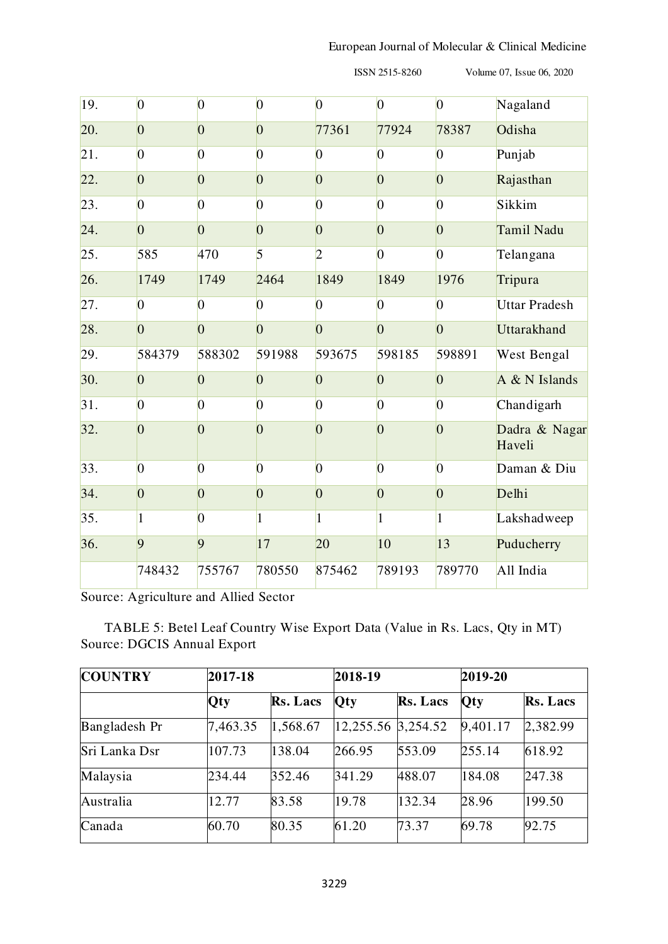| 19. | $\overline{0}$  | $\overline{0}$ | $\overline{0}$ | $\overline{0}$ | $\overline{0}$ | $\vert 0 \vert$ | Nagaland                |
|-----|-----------------|----------------|----------------|----------------|----------------|-----------------|-------------------------|
| 20. | $\overline{0}$  | $\overline{0}$ | $\overline{0}$ | 77361          | 77924          | 78387           | Odisha                  |
| 21. | $\overline{0}$  | $\overline{0}$ | $\overline{0}$ | $\overline{0}$ | $\overline{0}$ | $\overline{0}$  | Punjab                  |
| 22. | $\overline{0}$  | $\overline{0}$ | $\overline{0}$ | $\overline{0}$ | $\overline{0}$ | $\overline{0}$  | Rajasthan               |
| 23. | $\overline{0}$  | $\overline{0}$ | $\overline{0}$ | $\overline{0}$ | $\overline{0}$ | $\overline{0}$  | Sikkim                  |
| 24. | $\overline{0}$  | $\overline{0}$ | $\overline{0}$ | $\overline{0}$ | $\overline{0}$ | $\overline{0}$  | Tamil Nadu              |
| 25. | 585             | 470            | 5              | $\overline{2}$ | $\overline{0}$ | $\overline{0}$  | Telangana               |
| 26. | 1749            | 1749           | 2464           | 1849           | 1849           | 1976            | Tripura                 |
| 27. | $\overline{0}$  | $\overline{0}$ | $\overline{0}$ | $\overline{0}$ | $\overline{0}$ | $\overline{0}$  | <b>Uttar Pradesh</b>    |
| 28. | $\overline{0}$  | $\overline{0}$ | $\overline{0}$ | $\overline{0}$ | $\overline{0}$ | $\overline{0}$  | <b>Uttarakhand</b>      |
| 29. | 584379          | 588302         | 591988         | 593675         | 598185         | 598891          | West Bengal             |
| 30. | $\overline{0}$  | $\overline{0}$ | $\overline{0}$ | $\overline{0}$ | $\overline{0}$ | $\overline{0}$  | A & N Islands           |
| 31. | $\overline{0}$  | $\overline{0}$ | $\overline{0}$ | $\overline{0}$ | $\overline{0}$ | $\overline{0}$  | Chandigarh              |
| 32. | $\overline{0}$  | $\overline{0}$ | $\overline{0}$ | $\overline{0}$ | $\overline{0}$ | $\overline{0}$  | Dadra & Nagar<br>Haveli |
| 33. | $\vert 0 \vert$ | $\overline{0}$ | $\overline{0}$ | $\overline{0}$ | $\overline{0}$ | $\overline{0}$  | Daman & Diu             |
| 34. | $\overline{0}$  | $\overline{0}$ | $\overline{0}$ | $\overline{0}$ | $\overline{0}$ | $\overline{0}$  | Delhi                   |
| 35. | $\mathbf{1}$    | $\overline{0}$ | $\mathbf{1}$   | 1              | $\mathbf{1}$   | 1               | Lakshadweep             |
| 36. | 9               | 9              | 17             | 20             | 10             | 13              | Puducherry              |
|     | 748432          | 755767         | 780550         | 875462         | 789193         | 789770          | All India               |

Source: Agriculture and Allied Sector

TABLE 5: Betel Leaf Country Wise Export Data (Value in Rs. Lacs, Qty in MT) Source: DGCIS Annual Export

| <b>COUNTRY</b> | 2017-18  |          | 2018-19            |                 | 2019-20  |                 |
|----------------|----------|----------|--------------------|-----------------|----------|-----------------|
|                | Qty      | Rs. Lacs | <b>Qty</b>         | <b>Rs. Lacs</b> | Qty      | <b>Rs. Lacs</b> |
| Bangladesh Pr  | 7,463.35 | 1,568.67 | 12,255.56 3,254.52 |                 | 9,401.17 | 2,382.99        |
| Sri Lanka Dsr  | 107.73   | 138.04   | 266.95             | 553.09          | 255.14   | 618.92          |
| Malaysia       | 234.44   | 352.46   | 341.29             | 488.07          | 184.08   | 247.38          |
| Australia      | 12.77    | 83.58    | 19.78              | 132.34          | 28.96    | 199.50          |
| Canada         | 60.70    | 80.35    | 61.20              | 73.37           | 69.78    | 92.75           |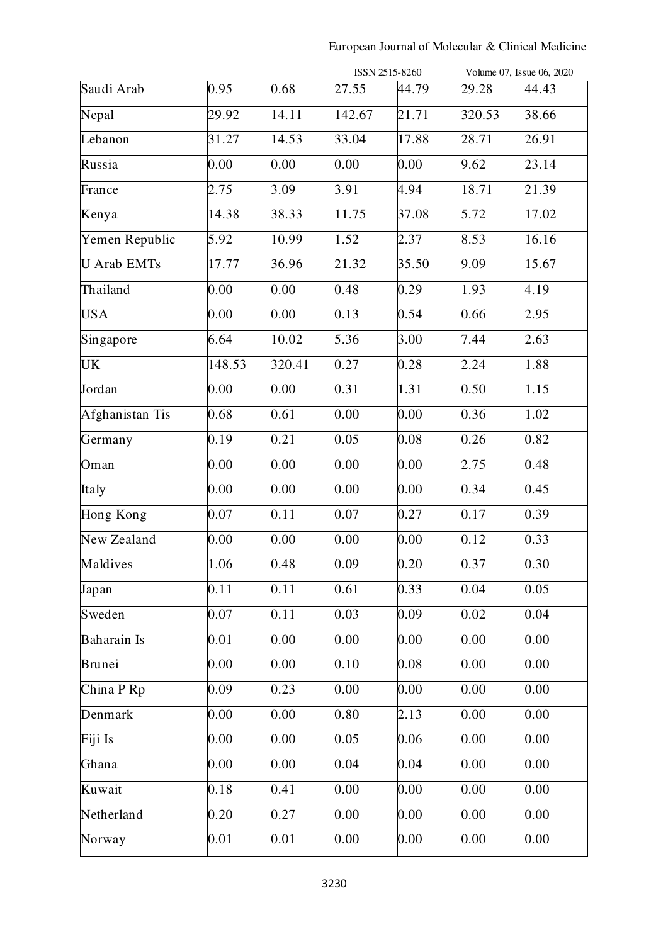# European Journal of Molecular & Clinical Medicine

|                    |        |        |        | ISSN 2515-8260 |        | Volume 07, Issue 06, 2020 |
|--------------------|--------|--------|--------|----------------|--------|---------------------------|
| Saudi Arab         | 0.95   | 0.68   | 27.55  | 44.79          | 29.28  | 44.43                     |
| Nepal              | 29.92  | 14.11  | 142.67 | 21.71          | 320.53 | 38.66                     |
| Lebanon            | 31.27  | 14.53  | 33.04  | 17.88          | 28.71  | 26.91                     |
| Russia             | 0.00   | 0.00   | 0.00   | 0.00           | 9.62   | 23.14                     |
| France             | 2.75   | 3.09   | 3.91   | 4.94           | 18.71  | 21.39                     |
| Kenya              | 14.38  | 38.33  | 11.75  | 37.08          | 5.72   | 17.02                     |
| Yemen Republic     | 5.92   | 10.99  | 1.52   | 2.37           | 8.53   | 16.16                     |
| <b>U</b> Arab EMTs | 17.77  | 36.96  | 21.32  | 35.50          | 9.09   | 15.67                     |
| Thailand           | 0.00   | 0.00   | 0.48   | 0.29           | 1.93   | 4.19                      |
| <b>USA</b>         | 0.00   | 0.00   | 0.13   | 0.54           | 0.66   | 2.95                      |
| Singapore          | 6.64   | 10.02  | 5.36   | 3.00           | 7.44   | 2.63                      |
| <b>UK</b>          | 148.53 | 320.41 | 0.27   | 0.28           | 2.24   | 1.88                      |
| Jordan             | 0.00   | 0.00   | 0.31   | 1.31           | 0.50   | 1.15                      |
| Afghanistan Tis    | 0.68   | 0.61   | 0.00   | 0.00           | 0.36   | 1.02                      |
| Germany            | 0.19   | 0.21   | 0.05   | 0.08           | 0.26   | 0.82                      |
| Oman               | 0.00   | 0.00   | 0.00   | 0.00           | 2.75   | 0.48                      |
| Italy              | 0.00   | 0.00   | 0.00   | 0.00           | 0.34   | 0.45                      |
| Hong Kong          | 0.07   | 0.11   | 0.07   | 0.27           | 0.17   | 0.39                      |
| New Zealand        | 0.00   | 0.00   | 0.00   | 0.00           | 0.12   | 0.33                      |
| Maldives           | 1.06   | 0.48   | 0.09   | 0.20           | 0.37   | 0.30                      |
| Japan              | 0.11   | 0.11   | 0.61   | 0.33           | 0.04   | 0.05                      |
| Sweden             | 0.07   | 0.11   | 0.03   | 0.09           | 0.02   | 0.04                      |
| Baharain Is        | 0.01   | 0.00   | 0.00   | 0.00           | 0.00   | 0.00                      |
| Brunei             | 0.00   | 0.00   | 0.10   | 0.08           | 0.00   | 0.00                      |
| China P Rp         | 0.09   | 0.23   | 0.00   | 0.00           | 0.00   | 0.00                      |
| Denmark            | 0.00   | 0.00   | 0.80   | 2.13           | 0.00   | 0.00                      |
| Fiji Is            | 0.00   | 0.00   | 0.05   | 0.06           | 0.00   | 0.00                      |
| Ghana              | 0.00   | 0.00   | 0.04   | 0.04           | 0.00   | 0.00                      |
| Kuwait             | 0.18   | 0.41   | 0.00   | 0.00           | 0.00   | 0.00                      |
| Netherland         | 0.20   | 0.27   | 0.00   | 0.00           | 0.00   | 0.00                      |
| Norway             | 0.01   | 0.01   | 0.00   | 0.00           | 0.00   | 0.00                      |
|                    |        |        |        |                |        |                           |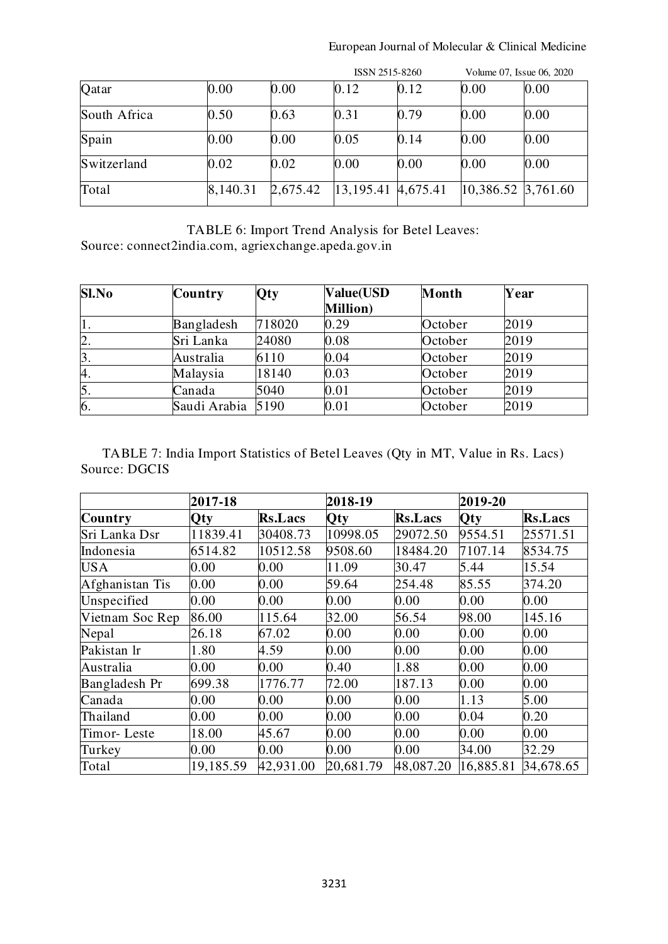# European Journal of Molecular & Clinical Medicine

|              |          |          | ISSN 2515-8260                    |      | Volume 07, Issue 06, 2020 |      |
|--------------|----------|----------|-----------------------------------|------|---------------------------|------|
| Qatar        | 0.00     | 0.00     | 0.12                              | 0.12 | 0.00                      | 0.00 |
| South Africa | 0.50     | 0.63     | 0.31                              | 0.79 | 0.00                      | 0.00 |
| Spain        | 0.00     | 0.00     | 0.05                              | 0.14 | 0.00                      | 0.00 |
| Switzerland  | 0.02     | 0.02     | 0.00                              | 0.00 | 0.00                      | 0.00 |
| Total        | 8,140.31 | 2,675.42 | $ 13,195.41 \t\t   4,675.41 \t\t$ |      | 10,386.52 3,761.60        |      |

TABLE 6: Import Trend Analysis for Betel Leaves: Source: connect2india.com, agriexchange.apeda.gov.in

| Sl.No | <b>Country</b>    | Qty    | <b>Value(USD</b><br><b>Million</b> ) | Month   | Year |  |
|-------|-------------------|--------|--------------------------------------|---------|------|--|
| 1.    | Bangladesh        | 718020 | 0.29                                 | October | 2019 |  |
| 2.    | Sri Lanka         | 24080  | 0.08                                 | October | 2019 |  |
| 3.    | Australia         | 6110   | 0.04                                 | October | 2019 |  |
| 4.    | Malaysia          | 18140  | 0.03                                 | October | 2019 |  |
| 5.    | Canada            | 5040   | 0.01                                 | October | 2019 |  |
| 6.    | Saudi Arabia 5190 |        | $\rm 0.01$                           | October | 2019 |  |

TABLE 7: India Import Statistics of Betel Leaves (Qty in MT, Value in Rs. Lacs) Source: DGCIS

|                 | 2017-18    |                | 2018-19    |                | 2019-20   |                |
|-----------------|------------|----------------|------------|----------------|-----------|----------------|
| Country         | <b>Oty</b> | <b>Rs.Lacs</b> | <b>Qty</b> | <b>Rs.Lacs</b> | Qty       | <b>Rs.Lacs</b> |
| Sri Lanka Dsr   | 11839.41   | 30408.73       | 10998.05   | 29072.50       | 9554.51   | 25571.51       |
| Indonesia       | 6514.82    | 10512.58       | 9508.60    | 18484.20       | 7107.14   | 8534.75        |
| <b>USA</b>      | 0.00       | 0.00           | 11.09      | 30.47          | 5.44      | 15.54          |
| Afghanistan Tis | 0.00       | 0.00           | 59.64      | 254.48         | 85.55     | 374.20         |
| Unspecified     | 0.00       | 0.00           | 0.00       | 0.00           | 0.00      | 0.00           |
| Vietnam Soc Rep | 86.00      | 115.64         | 32.00      | 56.54          | 98.00     | 145.16         |
| Nepal           | 26.18      | 67.02          | $0.00\,$   | 0.00           | $0.00\,$  | 0.00           |
| Pakistan Ir     | 1.80       | 4.59           | 0.00       | 0.00           | 0.00      | 0.00           |
| Australia       | 0.00       | 0.00           | 0.40       | 1.88           | 0.00      | 0.00           |
| Bangladesh Pr   | 699.38     | 1776.77        | 72.00      | 187.13         | 0.00      | 0.00           |
| Canada          | 0.00       | 0.00           | 0.00       | 0.00           | 1.13      | 5.00           |
| Thailand        | 0.00       | $0.00\,$       | 0.00       | 0.00           | 0.04      | 0.20           |
| Timor-Leste     | 18.00      | 45.67          | 0.00       | 0.00           | 0.00      | 0.00           |
| Turkey          | 0.00       | $0.00\,$       | 0.00       | 0.00           | 34.00     | 32.29          |
| Total           | 19,185.59  | 42,931.00      | 20,681.79  | 48,087.20      | 16,885.81 | 34,678.65      |